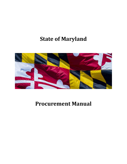# **State of Maryland**



# **Procurement Manual**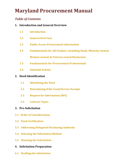# *Table of Contents*

# **1. Introduction and General Overview**

- **1.1 Introduction**
- **1.2 General Overview**
- **1.3 Public Access Procurement Information**
- **1.4 Fundamentals for All Vendors, including Small, Minority-owned, Women-owned, & Veteran-owned Businesses**
- **1.5 Fundamentals for Procurement Professionals**
- **1.6 Unlawful Actions**

# **2. Need Identification**

- **2.1 Identifying the Need**
- **2.2 Determining if the Good/Service Exempt**
- **2.3 Request for Information (RFI)**
- **2.4 Contract Types**

# **3. Pre-Solicitation**

- **3.1 Order of Considerations**
- **3.2 Fund Certification**
- **3.3 Addressing Delegated Purchasing Authority**
- **3.4 Selecting the Solicitation Method**
- **3.5 Planning the Solicitation**
- **4. Solicitation Preparation**
- **4.1 Drafting the Solicitation**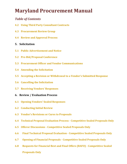# *Table of Contents*

- **4.2 Using Third Party Consultant Contracts**
- **4.3 Procurement Review Group**
- **4.4 Review and Approval Process**
- **5. Solicitation**
- **5.1 Public Advertisement and Notice**
- **5.2 Pre-Bid/Proposal Conference**
- **5.3 Procurement Officer and Vendor Communications**
- **5.4 Amending the Solicitation**
- **5.5 Accepting a Revision or Withdrawal to a Vendor's Submitted Response**
- **5.6 Cancelling the Solicitation**
- **5.7 Receiving Vendors' Responses**
- **6. Review / Evaluation Process**
- **6.1 Opening Vendors' Sealed Responses**
- **6.2 Conducting Initial Review**
- **6.3 Vendor's Revisions or Cures to Proposals**
- **6.4 Technical Proposal Evaluation Process - Competitive Sealed Proposals Only**
- **6.5 Offeror Discussions - Competitive Sealed Proposals Only**
- **6.6 Final Technical Proposal Evaluation - Competitive Sealed Proposals Only**
- **6.7 Opening of Financial Proposals - Competitive Sealed Proposals Only**
- **6.8 Requests for Financial Best and Final Offers (BAFO) - Competitive Sealed Proposals Only**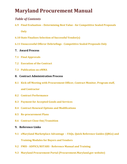# *Table of Contents*

- **6.9 Final Evaluation – Determining Best Value - for Competitive Sealed Proposals Only**
- **6.10 State Finalizes Selection of Successful Vendor(s)**
- **6.11 Unsuccessful Offeror Debriefings - Competitive Sealed Proposals Only**
- **7. Award Process**
- **7.1 Final Approvals**
- **7.2 Execution of the Contract**
- **7.3 Publication on eMMA**
- **8. Contract Administration Process**
- **8.1 Kick-off Meeting with Procurement Officer, Contract Monitor, Program staff, and Contractor**
- **8.2 Contract Performance**
- **8.3 Payment for Accepted Goods and Services**
- **8.4 Contract Renewal Options and Modifications**
- **8.5 Re-procurement Plans**
- **8.6 Contract Close Out/Transition**
- **9. Reference Links**
- **9.1 eMaryland Marketplace Advantage – FAQs, Quick Reference Guides (QRGs) and Training Modules for Buyers and Vendors**
- **9.2 FMIS - ADPICS/RSTARS - Reference Manual and Training**
- **9.3 Maryland Procurement Portal (Procurement.Maryland.gov website)**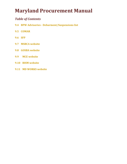# *Table of Contents*

- **9.4 BPW Advisories - Debarment/Suspensions list**
- **9.5 COMAR**
- **9.6 SFP**
- **9.7 MSBCA website**
- **9.8 GOSBA website**
- **9.9 MCE website**
- **9.10 BISM website**
- **9.11 MD WORKS website**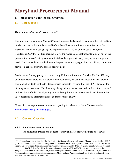## **1. Introduction and General Overview**

### **1.1 Introduction**

#### *Welcome to Maryland Procurement!*

The Maryland Procurement Manual (Manual) reviews the General Procurement Law of the State of Maryland as set forth in Division II of the State Finance and Procurement Article of the Maryland Annotated Code (SFP) and implemented by Title 21 of the Code of Maryland Regulations (COMAR).<sup>[1](#page-5-0)</sup> It is intended to give the reader a practical understanding of one of the primary functions of State government that directly impacts virtually every agency and public need. The Manual is not a substitute for the procurement law, regulations or policies, but instead provides a general overview of State procurement.

To the extent that any policy, procedure, or guideline conflicts with Division II of the SFP, any other applicable statute or State procurement regulation, the statute or regulation shall prevail. The Manual contents applies to State agencies subject to Division II of the SFP. Standards for other agencies may vary. The State may change, delete, waive, suspend, or discontinue parts of, or the entirety of this Manual, at any time without prior notice. Please check back here for the latest procurement information since updates occur regularly.

Please direct any questions or comments regarding the Manual to Jamie Tomaszewski at [Jamie.tomaszewski@maryland.gov.](mailto:Jamie.tomaszewski@maryland.gov)

## **1.2 General Overview**

#### **1.2.1 State Procurement Principles**

The principal purposes and policies of Maryland State procurement are as follows:

<span id="page-5-0"></span><sup>&</sup>lt;sup>1</sup> This Manual does not review the Maryland Minority Business Enterprise Program Manual (Amended July 2014) (MBE Program Manual), which is incorporated by reference into COMAR pursuant to COMAR 11.01.10.01or the Federal Disadvantaged Business Enterprise Program (Rev. April 2018) (DBE Program Manual), which is required pursuant to 49 C.F.R. Part 26. These Program Manuals apply to MBE and DBE procurement matters at the Maryland Department of Transportation, which encompasses the Maryland Aviation Administration, Maryland Port Administration, Maryland Transit Administration, Motor Vehicle Administration, State Highway Administration, and Maryland Transportation Authority.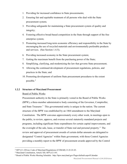- 1. Providing for increased confidence in State procurements;
- 2. Ensuring fair and equitable treatment of all persons who deal with the State procurement system;
- 3. Providing safeguards for maintaining a State procurement system of quality and integrity;
- 4. Fostering effective broad-based competition in the State through support of the free enterprise system;
- 5. Promoting increased long-term economic efficiency and responsibility in the State by encouraging the use of recycled materials and environmentally preferable products and services. (See Section 1.4.5);
- 6. Providing increased economy in the State procurement system;
- 7. Getting the maximum benefit from the purchasing power of the State;
- 8. Simplifying, clarifying, and modernizing the law that governs State procurement;
- 9. Allowing the continued development of procurement regulations, policies, and practices in the State; and
- 10. Promoting development of uniform State procurement procedures to the extent possible.[2](#page-6-0)

#### **1.2.2 Structure of Maryland Procurement**

#### Board of Public Works

Procurement authority in the State is primarily vested in the Board of Public Works (BPW), a three-member administrative body consisting of the Governor, Comptroller, and State Treasurer.<sup>[3](#page-6-1)</sup> This governmental entity is unique in the nation. The current structure of the BPW was established by an 1864 amendment to the Maryland Constitution. The BPW convenes approximately every other week, in meetings open to the public, to review, approve, and oversee several statutorily mandated projects and programs, including significant State expenditures for certain capital improvements, and the oversight of the sale, lease, or transfer of State real and personal property.<sup>[4](#page-6-2)</sup> The review and approval of procurement awards of certain dollar amounts are delegated to designated "Control Agencies" within State government, with those Control Agencies providing a monthly report to the BPW of procurement awards approved by the Control

<span id="page-6-0"></span> <sup>2</sup> SFP §11-201(a); Code of Maryland Regulations (COMAR) 21.01.01.03.

<span id="page-6-1"></span><sup>3</sup> Maryland Constitution, Article XII; SFP §12-101.

<span id="page-6-2"></span><sup>4</sup> Board of Public Works Meeting Schedule: http://bpw.maryland.gov/Pages/default.aspx#Calendar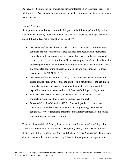Agency. See Section 7 of this Manual for further information on the awards process as it relates to the BPW, including dollar amount thresholds for procurement actions requiring BPW approval.

#### Control Agencies

State procurement authority is currently delegated to the following Control Agencies, also known as Primary Procurement Units or Control Authorities, up to specific dollar amount thresholds as set in regulation by the  $BPW^5$  $BPW^5$ :

- *Department of General Services (DGS)*: Capital construction improvements contracts; capital construction-related services; architectural and engineering contracts; maintenance contracts; professional services; purchases, leases and rentals of motor vehicles for State officials and employees; electronic information processing hardware and software, including maintenance, telecommunications, and associated consulting services; commodities and supplies; and real estate leases, per COMAR 21.02.05.05.
- *Department of Transportation (MDOT)*: Transportation-related construction, capital construction, architectural and engineering, maintenance, and equipment contracts; supplies and services for aeronautics-related activities; capital expenditure contracts in connection with State roads, bridges, or highways.
- *The Treasurer (STO)*: Banking, investment, and other financial services contracts; insurance and insurance-related services contracts.
- *Maryland Port Administration (MPA)*: Port facility-related construction, construction-related services, architectural and engineering, maintenance, equipment, services (including information technology services), commodities and supplies, and leases of real property.

There are three additional Primary Procurement Units that are not Control Agencies. Those three are the University System of Maryland (USM), Morgan State University (MSU), and St. Mary's College of Maryland (SMCM).<sup>[6](#page-7-1)</sup> This Procurement Manual is not designed to cover these three units as they follow their own procurement policies and

<span id="page-7-1"></span><span id="page-7-0"></span> <sup>5</sup> COMAR 21.02.01.04; See Procurement Manual Section 7, Awards Process, for specific dollar amount thresholds. <sup>6</sup> SFP §11-101(l). See COMAR 21.01.03.01A.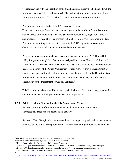procedures,<sup>[7](#page-8-0)</sup> and with the exception of the Small Business Reserve (USM and MSU), the Minority Business Enterprise Program (MBE) and select other provisions, these three units are exempt from COMAR Title 21, the State's Procurement Regulations.

#### Procurement Reform Efforts – Chief Procurement Officer

There has been a significant increase in recent years in the number of commissions and studies tasked with reviewing Maryland State procurement laws, regulations, practices and procedures. These efforts culminated in the 2016 Commission to Modernize State Procurement, resulting in several bills passed in the 2017 legislative session of the General Assembly to reform and restructure State procurement.

Perhaps the most significant changes to current law are included in 2017 House Bill 1021, *Reorganization of State Procurement* (signed into law as Chapter 590, Laws of Maryland 2017 Session). Effective October 1, 2019, this statute created the procurement leadership position of the Chief Procurement Officer (CPO) within the Department of General Services and transferred procurement control authority from the Departments of Budget and Management, Public Safety and Correctional Services, and Information Technology to the Department of General Services.<sup>[8](#page-8-1)</sup>

This Procurement Manual will be updated periodically to reflect these changes, as well as any other changes to State procurement structure or practices.

#### **1.2.3 Brief Overview of the Sections in this Procurement Manual**

Sections 2 through 8 of the Procurement Manual are structured in the general chronological order of State procurement activity:

Section 2, *Need Identification*, focuses on the various types of goods and services that are procured by the State. Exemptions from State procurement regulations are covered, as

<span id="page-8-0"></span> <sup>7</sup> University System of Maryland Procurement Policies and Procedures:

http://www.usmd.edu/regents/bylaws/SectionVIII/VIII300.html

<sup>;</sup> Morgan State University Procurement Policies and Procedures:

http://www.morgan.edu/Documents/ADMINISTRATION/OFFICES/procurement/Policies\_Procedures.pdf

<sup>;</sup> St. Mary's College Procurement Policies and Procedures: http://www.smcm.edu/businessoffice/wp-

content/uploads/sites/40/2014/06/College-Procurement-Policy-and-Procedures.pdf

<sup>8</sup>

<span id="page-8-1"></span><http://mgaleg.maryland.gov/webmga/frmMain.aspx?id=hb1021&stab=01&pid=billpage&tab=subject3&ys=2017RS>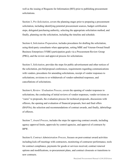well as the issuing of Requests for Information (RFI) prior to publishing procurement solicitations.

Section 3, *Pre-Solicitation*, covers the planning stages prior to preparing a procurement solicitation, including identifying potential procurement sources, budget certification steps, delegated purchasing authority, selecting the appropriate solicitation method, and finally, planning out the solicitation, including the timeline and schedule.

Section 4, *Solicitation Preparation*, includes procedures for drafting the solicitation, using third-party consultants when appropriate, setting MBE and Veteran-Owned Small Business Enterprises (VSBE) participation goals via a Procurement Review Group (PRG), and the review and approval process for solicitations.

Section 5, *Solicitation*, provides the steps for public advertisement and other notices of the solicitation, pre-bid/proposal conferences, requirements regarding communications with vendors, procedures for amending solicitations, receipt of vendor responses to solicitations, revisions to or withdrawals of vendor-submitted responses, and cancellations of solicitations.

Section 6, *Review / Evaluation Process*, covers the opening of vendor responses to solicitations, the conducting of initial reviews of vendor responses, vendor revisions or "cures" to proposals, the evaluation process for technical proposals, discussions with offerors, the opening and evaluation of financial proposals, best and final offers (BAFOs), the selection and recommendations of contract awards, and finally, debriefings of offerors.

Section 7, *Award Process*, includes the steps for approving contract awards, including agency approval limits, approvals by control agencies, and approval of contracts by BPW.

Section 8, *Contract Administration Process*, focuses on post-contract award activities including kick-off meetings with contractors, monitoring of contractor performance, tools for contract compliance, payments for goods or services received, contract renewal options and modifications, re-procurement plans, and contract closeouts or transitions to new contracts.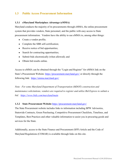# **1.3 Public Access Procurement Information**

#### **1.3.1 eMaryland Marketplace** *Advantage* **(eMMA)**

Maryland conducts the majority of its procurements through eMMA, the online procurement system that provides vendors, State personnel, and the public with easy access to State procurement information. Vendors have the ability to use eMMA to, among other things:

- Create a vendor profile;
- Complete the SBR self-certification;
- Receive notice of bid opportunities;
- Search for contracting opportunities;
- Submit bids electronically (when allowed); and
- Obtain bid results online.

Access to eMMA can be obtained through the "Login and Register" for eMMA link on the State's Procurement Website:<https://procurement.maryland.gov/> or directly through the following link: <https://emma.maryland.gov/>

*Note: For some Maryland Department of Transportation (MDOT) construction and maintenance solicitations, vendors are required to register and utilize Bid Express to submit a bid. <https://www.bidx.com/maryland/main>*

#### **1.3.2 State Procurement Website** <https://procurement.maryland.gov/>

The State Procurement website includes links to information including BPW Advisories, Statewide Contracts, Green Purchasing, Competitive Procurement Checklists, Timelines, and Templates, Best Practices and other valuable information to assist you in procuring goods and services for the State.

Additionally, access to the State Finance and Procurement (SFP) Article and the Code of Maryland Regulations (COMAR) is available through links on this site.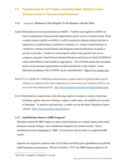# **1.4 Fundamentals for All Vendors, including Small, Minority-owned, Women-owned, & Veteran-owned Businesses**

- **1.4.1** In general, **Businesses Must Register To Do Business with the State.**
- **1.4.1.1** Maryland posts most procurements on eMMA. Vendors must register on eMMA to receive notifications of procurement opportunities and to receive a contract award. When a vendor creates a profile on eMMA, it will be required to indicate whether the firm is registered as a small business, certified as a minority- or woman-owned business, or verified as a veteran-owned business and designate what classifications of goods or services it provides. Vendors are encouraged to add as many product and service categories using the United Nations Standard Products and Services Code® (UNSPSC®) codes/commodities to their profiles as appropriate. This will help ensure that automated notices of procurement opportunities are delivered directly to the vendors' e-mail. Questions pertaining to the UNSPSC can be researched here: [https://www.unspsc.org/.](https://www.unspsc.org/)
- **1.4.1.2** To be eligible for a Maryland contract award, vendors must be registered and in good standing as required by the State Department of Assessment and Taxation (SDAT), and not on the State debarment list. <http://dat.maryland.gov/businesses/Pages/default.aspx>
- **1.4.1.3** Maryland has created online tools allowing vendors to conduct a variety of activities including: register and start a business, register a trade name, and establish tax accounts in Maryland. To perform such activities, a vendor can use the State's Business Express website: <https://businessexpress.maryland.gov/>

#### **1.4.2 Small Business Reserve (SBR) Program[9](#page-11-0)**

Maryland created the SBR Program to allow small businesses to compete against other small businesses instead of larger, more established companies for contract awards. Once a solicitation has been designated as "SBR," an award can only be made to a registered SBR vendor.

Agencies are required to spend at least 15% of their total fiscal year expenditures on qualified small businesses procurements. Effective October 1, 2017, the SBR Program applies to all

<span id="page-11-0"></span> <sup>9</sup> SFP Title 14, Subtitle 5; COMAR 21.11.01.06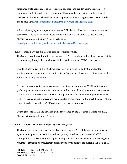designated State agencies. The SBR Program is a race- and gender-neutral program. To participate, an SBR vendor must be a for-profit business that meets the established small business requirements. The self-certification process is done through eMMA. SBR criteria can be found at: [http://gomdsmallbiz.maryland.gov/Pages/sbr-Program.aspx.](https://gomdsmallbiz.maryland.gov/Pages/sbr-Program.aspx)

All participating agencies/departments have an SBR liaison officer who advocates for small businesses. The list of liaison officers can be found on the Governor's Office of Small, Minority & Women Business Affairs' website at:

<https://gomdsmallbiz.maryland.gov/Pages/SBR-Liaison-Directory.aspx>

#### **1.4.3 Veteran-Owned Small Business Enterprises (VSBE)[10](#page-12-0)**

The State's overall goal for VSBE participation is 1% of the dollar value of each agency's total procurements, through direct (prime) or indirect (subcontractor) VSBE participation.

Details on how to confirm a VSBE with federal Vetbiz verification by the Center for Verification and Evaluation of the United States Department of Veterans Affairs are available at [https://www.vip.vetbiz.gov/.](https://www.vip.vetbiz.gov/)

Agencies are required to review each procurement and set appropriate VSBE participation goals. Agencies must assure that a contract award is not made until a recommended awardee has committed to the established VSBE participation goal by subcontracting with a verified VSBE or has requested a waiver and demonstrated a good faith effort to meet the goal. After a contract has been awarded, VSBE compliance is closely monitored.

Oversight of the VSBE and SBR programs is provided by the Governor's Office of Small, Minority & Women Business Affairs.

#### **1.4.4 Minority Business Enterprise (MBE) Program[11](#page-12-1)**

The State's current overall goal for MBE participation is  $29\%$ <sup>12</sup> of the dollar value of each agency's total procurements, through direct (prime) or indirect (subcontractor) MBE participation. The MBE Program applies to all participating State agencies, and each agency is required to structure its procurement procedures to try to achieve the overall MBE goal each

<span id="page-12-0"></span><sup>&</sup>lt;sup>10</sup> SFP Title 14 Subtitle 6; COMAR 21.11.13

<span id="page-12-1"></span> $11$  SFP Title 14, Subtitle 3; COMAR 21.11.03

<span id="page-12-2"></span><sup>12</sup> COMAR 21.11.03.01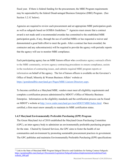fiscal year. If there is federal funding for the procurement, the MBE Program requirements may be superseded by the federal Disadvantaged Business Enterprise (DBE) Program. (See Section 3.2.1C below).

Agencies are required to review each procurement and set appropriate MBE participation goals as well as subgoals based on GOSBA Guidelines.<sup>[13](#page-13-0)</sup> Agencies must ensure that a contract award is not made until a recommended awardee has committed to the established MBE participation goals, if any, through the use of certified MBEs or has requested a waiver and demonstrated a good faith effort to meet the goals. After a contract has been awarded, the contractor and any subcontractor(s) will be required to provide the agency with periodic reports that the agency will use to monitor MBE compliance.

Each participating agency has an MBE liaison officer who coordinates agency outreach efforts to the MBE community, reviews agency contracting procedures to ensure compliance, assists in the resolution of contracting issues, and submits required MBE program reports or information on behalf of the agency. The list of liaison officers is available on the Governor's Office of Small, Minority & Women Business Affairs' website at [https://gomdsmallbiz.maryland.gov/Pages/MBE-Liaison-Directory.aspx.](https://gomdsmallbiz.maryland.gov/Pages/MBE-Liaison-Directory.aspx)

To become certified as a Maryland MBE, vendors must meet all eligibility requirements and complete a certification process administered by MDOT's Office of Minority Business Enterprise. Information on the eligibility standards and the certification process can be found on MDOT's website at [http://www.mdot.maryland.gov/newMDOT/MBE/Index.html.](http://www.mdot.maryland.gov/newMDOT/MBE/Index.html) Once certified, a firm must renew annually to maintain its MBE certification status.

#### **1.4.5 Maryland Environmentally Preferable Purchasing (EPP) Program**

The Green Maryland Act of 2010 established the Maryland Green Purchasing Committee (GPC), an inter-agency body to administer an environmentally preferable purchasing program for the state. Chaired by General Services, the GPC aims to foster the health of our communities and environment by promoting sustainable procurement practices in government. The GPC publishes and maintains Environmentally Preferable Purchasing (EPP) specifications

<span id="page-13-0"></span><sup>&</sup>lt;sup>13</sup> Link to the State of Maryland MBE Program Subgoal Directive and Guidelines for Setting Contract Subgoals: [https://gomdsmallbiz.maryland.gov/Documents/Legislation/SubgoalGuidanceImplementationGuidelinesFinal](https://gomdsmallbiz.maryland.gov/Documents/Legislation/SubgoalGuidanceImplementationGuidelinesFinal-website_000.pdf)website 000.pdf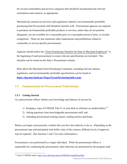for several commodities and services categories that should be incorporated into relevant solicitations and contracts, as appropriate.

Maryland has enacted several laws and regulations related to environmentally preferable purchasing that Procurement staff should be familiar with. Procurement agencies are required to purchase environmentally preferable products or services, unless they do not perform adequately, are not available for a reasonable price in a reasonable period of time, or exclude competition. There are also numerous other requirements and prohibitions related to commodity or service specific procurements.

Agencies should utilize the ["Green Purchasing Checklist for State of Maryland Employees](https://procurement.maryland.gov/wp-content/uploads/sites/12/2020/05/Green_Purchasing_Checklist_for_State_of_Maryland_Employees_4-28-2020-Final.pdf)" at the beginning of each procurement to ensure relevant specifications are included. This checklist can be found on the State's Procurement website.

More about the Maryland Green Purchasing Committee, including relevant statutes, regulations, and environmentally preferable specifications can be found at: **<https://dgs.maryland.gov/Pages/GreenPurchasing/index.aspx>**

# **1.5 Fundamentals for Procurement Professionals**

#### **1.5.1 Getting Started**

As a procurement officer, bolster your knowledge and chances of success by:

- 1) Keeping a copy of COMAR Title 21 at your desk to reference as needed (daily);<sup>[14](#page-14-0)</sup>
- 2) Asking questions from knowledgeable procurement staff; and
- 3) Attending procurement training classes, reading articles and books.

Before you begin a procurement, confirm that you have the authority to do so. Depending on the procurement type and anticipated total dollar value of the contract, different levels of approval may be required. (See Sections 3 and 7 for more information.)

Procurement is not performed by a single individual. While the procurement officer is responsible for conducting the procurement, other functions are performed by the program staff,

<span id="page-14-0"></span><sup>&</sup>lt;sup>14</sup> Link to COMAR online:<http://www.dsd.state.md.us/COMAR/ComarHome.html>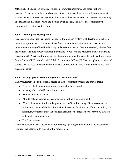MBE/SBR/VSBE liaison officers, evaluation committee, attorneys, and other staff or user agencies. There are also buyers who use existing contracts and conduct small procurements to acquire the items or services needed by their agency, inventory clerks who oversee the inventory of supplies and materials owned and stocked by an agency, and the contract monitors who administer the contracts after award.

#### **1.5.2 Training and Development**

As a procurement officer, engaging in ongoing training and professional development is key to maintaining proficiency. Online webinars, State procurement training classes, sustainable procurement training offered by the Maryland Green Purchasing Committee (GPC), classes from the National Institute of Governmental Purchasing (NIGP) and the Maryland Public Purchasing Association (MPPA), and training and certification programs, for example Certified Professional Public Buyer (CPPB) and Certified Public Procurement Officer (CPPO), through universities and colleges can be used to deepen your knowledge of procurement practices and prepare you for a successful career.

#### **1.5.3 Setting Up (and Maintaining) the Procurement File**[15](#page-15-0)

The Procurement File is the official record of the procurement process and should include:

- A record of all solicitation inquiries required to be recorded;
- A listing of every bidder or offeror solicited;
- All bids or offers received;
- All internal and external correspondence regarding the procurement;
- Written documentation from the procurement officer describing efforts to confirm the information in the affidavits submitted by the successful bidder or offeror, including, at a minimum, verification that the business has not been suspended or debarred by the State or federal government; and
- The final contract.

The procurement officer is responsible for creating, updating and maintaining the Procurement File from the beginning to the end of the procurement.

<span id="page-15-0"></span> <sup>15</sup> COMAR 21.05.01.06, COMAR 21.05.01.07.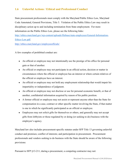## **1.6 Unlawful Actions / Ethical and Professional Conduct**

State procurement professionals must comply with the Maryland Public Ethics Law, Maryland Code Annotated, General Provisions, Title 5. Violation of the Public Ethics Law may result in disciplinary action up to and including termination from State employment. For more information on the Public Ethics Law, please see the following links:

[http://ethics.maryland.gov/wp-content/uploads/filebase/state-employees/General-Information-](http://ethics.maryland.gov/wp-content/uploads/filebase/state-employees/General-Information-Ethics-Law.pdf)[Ethics-Law.pdf.](http://ethics.maryland.gov/wp-content/uploads/filebase/state-employees/General-Information-Ethics-Law.pdf)

<http://ethics.maryland.gov/employeeoffcials/>

A few examples of prohibited conduct are:

- An official or employee may not intentionally use the prestige of his office for personal gain or that of another.
- An official or employee may not participate in an official action, decision or matter in circumstances where the official or employee has an interest or where certain relatives of the official or employee have an interest.
- An official or employee may not hold any employment relationship that would impair his impartiality or independence of judgment.
- An official or employee may not disclose or use for personal economic benefit, or that of another, confidential information acquired by reason of his public position.
- A former official or employee may not assist or represent anyone other than the State for compensation in a case, contract or other specific matter involving the State, if that matter is one in which he significantly participated as an official or employee.
- Employees may not solicit gifts for themselves or others, and generally may not accept gifts from lobbyists or those regulated by or doing (or seeking to do) business with the employee's agency.

Maryland law also includes procurement-specific statutes under SFP Title 13 governing unlawful conduct and promises; conflict of interests; and participation in procurement. Procurement professionals and vendors seeking to do business with the State should be aware of the following provisions:

Pursuant to SFP §13-211, during a procurement, a competing contractor may not: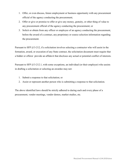- 1. Offer, or even discuss, future employment or business opportunity with any procurement official of the agency conducting the procurement;
- 2. Offer or give or promise to offer or give any money, gratuity, or other thing of value to any procurement official of the agency conducting the procurement; or
- 3. Solicit or obtain from any officer or employee of an agency conducting the procurement, before the award of a contract, any proprietary or source selection information regarding the procurement.

Pursuant to SFP §13-212, if a solicitation involves selecting a contractor who will assist in the formation, award, or execution of any State contract, the solicitation document must require that a bidder or offeror provide an affidavit that discloses any actual or potential conflict of interests.

Pursuant to SFP §13-212.1, with some exceptions, an individual (or their employer) who assists in drafting a solicitation or selecting an awardee may not:

- 1. Submit a response to that solicitation; or
- 2. Assist or represent another person who is submitting a response to that solicitation.

The above identified laws should be strictly adhered to during each and every phase of a procurement, vendor meetings, vendor demos, market studies, etc.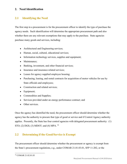## **2. Need Identification**

# **2.1 Identifying the Need**

The first step in a procurement is for the procurement officer to identify the type of purchase the agency needs. Such identification will determine the appropriate procurement path and also whether there are any relevant exemptions that may apply to the purchase. State agencies purchase many goods and services, including:

- Architectural and Engineering services;
- Human, social, cultural, educational services;
- Information technology services, supplies and equipment;
- Maintenance;
- Banking, investment, and other financial services;
- Insurance and insurance-related services;
- Leases for agency supplied employee housing;
- Purchasing, leasing, and rental contracts for acquisition of motor vehicles for use by State officials and employees;
- Construction and related services;
- Equipment;
- Commodities and Supplies;
- Services provided under an energy performance contract; and
- Other services.

Once the agency has identified the need, the procurement officer should determine whether the agency has the authority to procure that type of good or service and if Control Agency authority applies. Presently, the State has four control agencies with delegated procurement authority: (1) STO; (2) DGS; (3) MDOT; and (4) MPA. <sup>[16](#page-18-0)</sup>

# **2.2 Determining if the Good/Service is Exempt**

The procurement officer should determine whether the procurement or agency is exempt from the State's procurement regulations, e.g., under COMAR 21.01.03.01, SFP 11-202, or the

<span id="page-18-0"></span><sup>16</sup> COMAR 21.02.01.03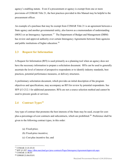agency's enabling statute. Even if a procurement or agency is exempt from one or more provisions of COMAR Title 21, the best practices provided in this Manual may be helpful to the procurement officer.

An example of a purchase that may be exempt from COMAR Title 21 is an agreement between a State agency and another governmental entity, also known as a memorandum of understanding (MOU) or an Interagency Agreement.[17](#page-19-0) The Department of Budget and Management (DBM) has review and approval authority over certain Interagency Agreements between State agencies and public institutions of higher education.<sup>18</sup>

#### **2.3 Request for Information**

A Request for Information (RFI) is used primarily as a planning tool when an agency does not have the necessary information to prepare a solicitation document. RFIs can be used to generally ascertain the level of interest of prospective respondents or to identify industry standards, best practices, potential performance measures, or delivery structures.

A preliminary solicitation document, which provides an initial description of the program objectives and specifications, may accompany an RFI for review by potential respondents. See SFP §13-212.1 for additional parameters. RFIs are not a source selection method and cannot be used to procure goods or services.

## 2.4 **Contract Types**<sup>19</sup>

Any type of contract that promotes the best interests of the State may be used, except for cost-plus-a-percentage-of-cost contracts and subcontracts, which are prohibited.<sup>[20](#page-19-3)</sup> Preference shall be given to the following contract types, in this order:

- (a) Fixed-price;
- (b) Fixed-price incentive;
- (c) Cost plus incentive fee; and

<span id="page-19-2"></span><sup>19</sup> COMAR 21.06.03

<span id="page-19-0"></span><sup>17</sup> COMAR 21.01.03.01

<span id="page-19-1"></span><sup>18</sup> SFP §3-207;<https://dbm.maryland.gov/proc-contracts/Pages/InteragencyAgreementApprovals.aspx>

<span id="page-19-3"></span><sup>20</sup> COMAR 21.06.03.01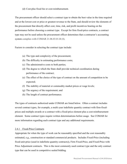(d) Cost-plus fixed fee or cost-reimbursement.

The procurement officer should select a contract type to obtain the best value in the time required and at the lowest cost or price or greatest revenue to the State, and should review the elements of the procurement that directly affect cost, time, risk, and profit incentives bearing on the performance before choosing a contract type. Except for firm fixed-price contracts, a contract type may not be used unless the procurement officer determines that a contractor's accounting system complies with COMAR 21.06.03.01.B (4).

Factors to consider in selecting the contract type include:

- (a) The type and complexity of the procurement;
- (b) The difficulty in estimating performance costs;
- (c) The administrative costs to both parties;
- (d) The degree to which the State shall provide technical coordination during performance of the contract;
- (e) The effect of the choice of the type of contract on the amount of competition to be expected;
- (f) The stability of material or commodity market prices or wage levels;
- (g) The urgency of the requirement; and
- (h) The length of contract performance.

The types of contracts authorized under COMAR are listed below. Often a contract includes several contract types, for example, a multi-year indefinite quantity contract with firm-fixedprices and multiple awards or a contract with a fixed-price element plus a cost-reimbursement element. Some contract types require written determinations before usage. See COMAR for more information regarding each contract type and any additional requirements.

#### 2.4.1 Fixed-Price Contracts

Appropriate for when the type of work can be reasonably specified and the cost reasonably estimated, e.g., construction or standard commercial products. Includes Fixed-Price (including fixed-unit-price (used in indefinite quantity contracts)), Firm Fixed-Price, and Fixed-Price with Price Adjustment contracts. This is the most commonly used contract type and the only contract type that can be used in competitive sealed bidding.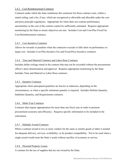#### 2.4.2 Cost-Reimbursement Contracts

Contracts under which the State reimburses the contractor for those contract costs, within a stated ceiling, and a fee, if any, which are recognized as allowable and allocable under the cost and price principle regulations. Appropriate for when there are contract performance uncertainties or the cost of the contract cannot be sufficiently estimated. Requires appropriate monitoring by the State to assure objectives are met. Includes Cost and Cost-Plus Fixed Fee Cost-Reimbursement contracts.

#### 2.4.3 Cost Incentive Contracts

Allows for rewards or penalties when the contractor exceeds or falls short on performance or target cost. Includes Cost-Plus Incentive Fee and Fixed-Price Incentive contracts.

#### 2.4.4 Time and Material Contracts and Labor Hour Contracts

Includes dollar ceilings stated in the contract that may not be exceeded without the procurement officer's prior determination and approval. Requires appropriate monitoring by the State. Includes Time and Material or Labor Hour contracts.

#### 2.4.5 Quantity Contracts

Appropriate when anticipated quantities are known or unknown, depending on the circumstances, or when a specific minimum quantity is required. Includes Definite Quantity, Indefinite Quantity, and Requirements contracts.

#### 2.4.6 Multi-Year Contracts

Contracts that require appropriation for more than one fiscal year in order to promote procurement economy and efficiency. Requires specific information to be included in the solicitation.

#### 2.4.7 Multiple Award Contracts

When a contract award to two or more vendors for the same or similar goods or labor is needed for adequate delivery, services, availability, or for product compatibility. Not to be used when a single award would meet the State's needs without sacrifice of economy or service.

#### 2.4.8 Personal Property Leases

A contract for the use of supplies that are not owned by the State.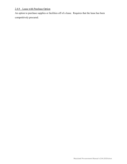# 2.4.9 Lease with Purchase Option

An option to purchase supplies or facilities off of a lease. Requires that the lease has been competitively procured.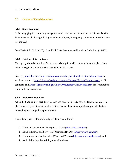### **3. Pre-Solicitation**

### **3.1 Order of Considerations**

#### **3.1.1 State Resources**

Before engaging in contracting, an agency should consider whether it can meet its needs with State resources, including utilizing existing employees, Interagency Agreements or MOUs (see Section 2.2).

See COMAR 21.02.03.02(C) (7) and Md. State Personnel and Pensions Code Ann. §13-402.

#### **3.1.2 Existing State Contracts**

The agency should determine if there is an existing Statewide contract already in place from which the agency can procure the needed goods or services.

See, e.g.,<http://dbm.maryland.gov/proc-contracts/Pages/statewide-contracts/home.aspx> for services contracts; <http://doit.maryland.gov/contracts/Pages/AllMasterContracts.aspx> for IT contracts; and <https://dgs.maryland.gov/Pages/Procurement/BidsAwards.aspx> for commodities and maintenance contracts.

#### **3.1.3 Preferred Providers**

When the State cannot meet its own needs and does not already have a Statewide contract in place, an agency must consider whether the need can be met by a preferred provider before proceeding to a competitive procurement.

The order of priority for preferred providers is as follows:  $2<sup>1</sup>$ 

- 1. Maryland Correctional Enterprises (MCE) [\(https://mce.md.gov/\)](https://mce.md.gov/);
- 2. Blind Industries and Services of Maryland (BISM) [\(https://www.bism.org/\)](https://www.bism.org/);
- 3. Community Service Providers (Maryland Works) [\(http://www.mdworks.com/\)](http://www.mdworks.com/); and
- <span id="page-23-0"></span>4. An individual-with-disability-owned business.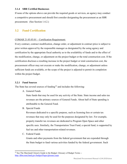#### **3.1.4 SBR Certified Businesses**

If none of the options above can provide the required goods or services, an agency may conduct a competitive procurement and should first consider designating the procurement as an SBR procurement. (See Section 1.4.2.)

## **3.2 Fund Certification**

#### COMAR 21.03.03.01 – Certification Requirement:

Every contract, contract modification, change order, or adjustment in contract price is subject to prior written approval by the responsible manager as designated by the using agency and certification by the appropriate fiscal authority as to the availability of funds and to the effect of the modification, change, or adjustment on the project budget or the total construction cost. If the certification discloses a resulting increase in the project budget or total construction cost, the procurement officer may not execute or make the modification, change, or adjustment unless sufficient funds are available, or the scope of the project is adjusted to permit its completion within the project budget.

#### **3.2.1 Fund Sources**

The State has several sources of funding<sup>[22](#page-24-0)</sup> and includes the following:

A. General Funds

State funds that may be used for any activity of the State. State income and sales tax revenues are the primary sources of General Funds. About half of State spending is attributable to the General Fund.

B. Special Funds

Revenues dedicated to a specific purpose, such as licensing fees or certain tax revenues that may only be used for the purposes designated by law. For example, property transfer tax revenues are dedicated to Program Open Space and other specific uses. Similarly, the Transportation Trust Fund, a special fund, is supported by fuel tax and other transportation-related revenues.

C. Federal Funds

Grants and other payments from the federal government that are expended through the State budget to fund various activities funded by the federal government. Such

<span id="page-24-0"></span><sup>&</sup>lt;sup>22</sup> See The Maryland Citizen's Guide to the Budget: Glossary of Budget Terms -<http://dbm.maryland.gov/budget/Pages/glossary.aspx>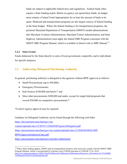funds are subject to applicable federal laws and regulations. Federal funds often require a State funding match. Before an agency can spend these funds, its budget must contain a Federal Fund Appropriation for at least the amount of funds to be spent. Medicaid and transportation programs are the largest sources of federal funding in the State budget. Where the federal funding is for transportation programs, the pertinent Maryland Department of Transportation (MDOT) modal administrations (the Maryland Aviation Administration, Maryland Transit Administration, and State Highway Administration) must apply the federal DBE Program consistent with the MDOT DBE Program Manual, which is available at [Insert Link to DBE Manual.<sup>[23](#page-25-0)</sup>

#### **3.2.2 State Grants**

Funds disbursed by the State directly to units of local government, nonprofits, and to individuals for specific purposes.

# **3.3 Addressing Delegated Purchasing Authority**

In general, purchasing authority is delegated to the agencies without BPW approval as follows:

- Small Procurements (up to \$50,000);
- Emergency Procurements;
- Sole Sources \$100,000 and below;\* and
- Most other procurements \$200,000 and under, except for single bids/proposals that exceed \$50,000 on competitive procurements.\*

\*Control Agency approval may be required.

Guidance on Delegated Authority can be found through the following web links:

[https://procurement.maryland.gov/wp](https://procurement.maryland.gov/wp-content/uploads/sites/12/2019/11/DGSOSPAgencyDelegation.pdf)[content/uploads/sites/12/2019/11/DGSOSPAgencyDelegation.pdf](https://procurement.maryland.gov/wp-content/uploads/sites/12/2019/11/DGSOSPAgencyDelegation.pdf) [https://procurement.maryland.gov/wp-content/uploads/sites/12/2020/04/DGS-OSP-](https://procurement.maryland.gov/wp-content/uploads/sites/12/2020/04/DGS-OSP-BPWApprovalAuthorityChart.pdf)[BPWApprovalAuthorityChart.pdf](https://procurement.maryland.gov/wp-content/uploads/sites/12/2020/04/DGS-OSP-BPWApprovalAuthorityChart.pdf)

<https://procurement.maryland.gov/osp-bpw-submission/>

<span id="page-25-0"></span><sup>&</sup>lt;sup>23</sup> Where State funding applies, MDOT and its transportation business units must also comply with the MDOT MBE Program Manual, which is incorporated by reference into COMAR pursuant to COMAR 11.01.10.01. [http://www.mdot.maryland.gov/Office%20of%20Minority%20Business%20Enterprise/Resources\\_Information/4.8.15%20MBE](http://www.mdot.maryland.gov/Office%20of%20Minority%20Business%20Enterprise/Resources_Information/4.8.15%20MBE%20Manual%202014%20Amendments.pdf) [%20Manual%202014%20Amendments.pdf](http://www.mdot.maryland.gov/Office%20of%20Minority%20Business%20Enterprise/Resources_Information/4.8.15%20MBE%20Manual%202014%20Amendments.pdf)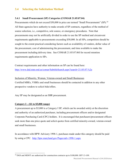### **3.4 Selecting the Solicitation Method**

#### **3.4.1 Small Procurement (SP) Categories (COMAR 21.05.07.04)**

Procurements which do not exceed \$50,000 in price are termed "Small Procurements" (SP).<sup>24</sup> All State agencies have authority to make awards of SP contracts, regardless of the method of source selection, i.e., competitive, sole source, or emergency procedures. Note that procurements may not be artificially divided in order to use the SP method and circumvent requirements applicable to procurements exceeding \$50,000. In all SPs, competition should be sought to the extent practical considering factors such as availability of vendors, dollar value of the procurement, cost of administering the procurement, and time available to make the procurement including delivery time. See COMAR 21.05.07.06I for record retention requirements application to SPs.

Contract requirements and other information on SP can be found here: <http://www.dsd.state.md.us/comar/SubtitleSearch.aspx?search=21.05.07.%2a>

Inclusion of Minority, Women, Veteran-owned and Small Businesses Certified MBEs, VSBEs and small businesses should be contacted in addition to any other prospective vendors to solicit bids/offers.

Any SP may be designated as an SBR procurement.

#### **Category I – (\$1 to \$5,000 range)**

A procurement up to \$5,000 is a Category I SP, which can be awarded solely at the discretion and authority of an authorized purchaser, including procurement officers and/or designated Corporate Purchasing Card (CPC) holders. It is encouraged that purchasers/procurement officers seek more than one price quote and solicit quotes from certified minority-owned, veteran-owned and small businesses.

In accordance with BPW Advisory 1998-1, purchases made under this category should be paid by using a CPC. <http://bpw.maryland.gov/Pages/adv-1998-1.aspx>

<span id="page-26-0"></span><sup>&</sup>lt;sup>24</sup> DGS and MDOT are authorized for construction contracts up to \$100,000. SFP 13-109.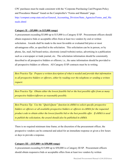CPC purchases must be made consistent with the "Corporate Purchasing Card Program Policy and Procedures Manual" found on the Comptroller's "Forms and Manuals" page. [http://compnet.comp.state.md.us/General\\_Accounting\\_Division/State\\_Agencies/Forms\\_and\\_Ma](http://compnet.comp.state.md.us/General_Accounting_Division/State_Agencies/Forms_and_Manuals.shtml) [nuals.shtml](http://compnet.comp.state.md.us/General_Accounting_Division/State_Agencies/Forms_and_Manuals.shtml)

#### **Category II – (\$5,000+ to \$15,000 range)**

A procurement exceeding \$5,000 up to \$15,000 is a Category II SP. Procurement officers should obtain responsive bids or acceptable offers from at least two vendors by oral or written solicitation. Awards shall be made to the most favorable or evaluated bid price or most advantageous offer, as specified in the solicitation. This solicitation can be in person, or by phone, fax, mail, bid board notice, electronic (email/website) notice, advertising in a publication such as a newspaper or trade journal, etc. The solicitation information should be consistently described to all prospective bidders or offerors; i.e., the same information should be provided to all prospective bidders or offerors. All Category II SP contracts must be in writing.

*Best Practice Tip: Prepare a written description of what is needed and provide that information to all prospective bidders or offerors, either by reading over the telephone or sending a written request.*

*Best Practice Tip: Obtain either the lowest feasible bid or the best possible offer from as many prospective bidders/offerors as reasonably possible.* 

*Best Practice Tip: Use the "Quick Quote" function in eMMA to solicit specific prospective bidders or offerors or all available prospective bidders or offerors in eMMA for the requested product code to obtain either the lowest feasible bid or the best possible offer. If eMMA is used to publish the solicitation, the award should also be published in eMMA.*

There is no required minimum time frame; at the discretion of the procurement officer, the prospective vendors can be contacted and asked for an immediate response or given a few hours or days to provide a response.

#### **Category III – (\$15,000+ to \$50,000 range)**

A procurement exceeding \$15,000 up to \$50,000 is a Category III SP. Procurement officers should obtain responsive bids or acceptable offers from at least two vendors by written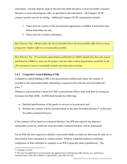solicitation. Awards shall be made to the most favorable bid price or most favorable evaluated bid price or most advantageous offer, as specified in the solicitation. All Category III SP contract awards must be in writing. Additional Category III SP requirements include:

- 1. There must be a notice of the procurement opportunity in eMMA at least three days before bids/offers are due.
- 2. There must be a written solicitation.

*Best Practice Tip: Obtain either the lowest feasible bid or the best possible offer from as many prospective bidders/offerors as reasonably possible.* 

*Best Practice Tip: Procurement opportunities published on eMMA should also have the award published on eMMA to close out the project and use other contracting features available in the eProcurement system to eventually include reporting and invoicing.*

### **3.4.2 Competitive Sealed Bidding (CSB)**

Competitive sealed bidding (CSB) is the procurement method used where the contract is awarded to the responsible bidder submitting a responsive bid with the most favorable bid price.[25](#page-28-0)

Whenever a procurement is based on CSB, a procurement officer shall seek bids by issuing an Invitation for Bids (IFB). An IFB shall include the following:

- Detailed specifications of the goods or services to be procured; and
- Whether the contract will be awarded based on the most favorable bid price<sup>[26](#page-28-1)</sup> or the most favorable evaluated bid price.

If the contract will be based on evaluated bid price, the IFB must specify the objective measurable criteria by which the most favorable evaluated bid price will be determined.

For an IFB, the time required to identify a successful bidder is relatively short may be only six to nine months from conception to contract award. Without a detailed technical evaluation, comparison of bids submitted in response to an IFB is generally done expeditiously. The

<span id="page-28-0"></span> <sup>25</sup> COMAR 21.05.02

<span id="page-28-1"></span><sup>&</sup>lt;sup>26</sup> The most favorable bid is not necessarily the apparent lowest bid because other factors, e.g., preferences, responsiveness of the bid or bidder's responsibility, may affect the bid.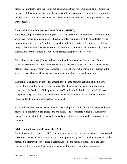procurement officer opens the bids in public, examines them for compliance, and confirms that the successful bid is responsive, and the successful bidder is responsible and meets minimum qualifications, if any, and determines that there are no exceptions from the requirements of the work specified.

#### **3.4.3 Multi-Step Competitive Sealed Bidding (MS-IFB)**

Multi-step competitive sealed bidding (MS-IFB) is a variation of competitive sealed bidding by which each bidder submits an unpriced technical offer, sample, or both to be evaluated by the procurement officer to confirm if it is acceptable under the criteria set forth in the IFB (Phase One). After the Phase One evaluation is complete, the procurement officer opens only the price submissions for those offers that have been deemed acceptable (Phase Two).

The technical offers, samples, or both are submitted in a separate sealed envelope from the sealed price submission. Price submissions may be requested at the same time as the technical offers or requested only from the acceptable offerors. If price submissions are requested at the same time as technical offers, pricing must remain sealed until the public opening.

The technical review is a pass or fail determination based upon the contents of the bidder's technical offer and the bidder's responsibility. Clarifications of the technical offer may be requested of the bidder(s). If the procurement officer deems the bidder's technical offer not acceptable, the price submission remains unopened and shall be returned to the bidder upon request, after the procurement has been concluded.

All technical offers deemed acceptable will have their price submissions publicly opened by the procurement officer at a designated time and place. The responsible bidder that submits the lowest responsive bid that is deemed technically acceptable is recommended for award of the contract.

#### **3.4.4 Competitive Sealed Proposals (CSP)**

Competitive sealed proposals (CSP) is the procurement method used where a contract is awarded based upon the best value to the State. A contract procured by the CSP method is awarded to the responsible offeror whose proposal is determined to be the most advantageous to the State, considering the price and the evaluation factors set forth in the request for proposals.<sup>[27](#page-29-0)</sup>

<span id="page-29-0"></span>27COMAR 21.05.03.03(F)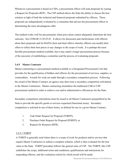Whenever a procurement is based on CSPs, a procurement officer will seek proposals by issuing a Request for Proposals (RFP). The CSP method allows the State the ability to choose the best solution in light of both the technical and financial proposals submitted by offerors. Those proposals are independently evaluated by a committee that advises the procurement officer in determining the most advantageous offer.

The method works well for procurements when price alone cannot adequately determine the best outcome. See COMAR 21.05.03.01. It allows for discussion and clarifications with offerors about their proposals and for BAFOs (best and final offers) whereby offerors can modify their offers to reflect their best prices or any changes to the scope of work. It is perhaps the most flexible procurement method available, but it may entail a longer procurement process because of the necessity of establishing a committee and the process of evaluating proposals.

#### **3.4.5 Master Contracts**

Master contracting is a procurement method available to a Designated Procurement Unit that provides for the qualification of bidders and offerors for the procurement of services, supplies, or commodities. Awards for work are made through a secondary competition process. Following the award of the Master Contract, an agency may then issue a secondary competition solicitation to the Master Contractors. Master contracting streamlines the traditional CSB or CSP procurement method in order to achieve cost and/or administrative efficiencies for the State.

Secondary competition solicitations must be issued to all Master Contractors prequalified by the State to provide the specific goods or services requested (functional areas). Secondary competition is solicited in one of three forms, as defined for use in a given Master Contract:

- 1. Task Order Request for Proposal (TORFP);
- 2. Purchase Order Request for Proposal (PORFP); or
- 3. Request for Resumes (RFR).

#### 3.4.5.1 TORFP

A TORFP is generally used where there is a scope of work for products and/or services that require Master Contractors to submit a complete solution, which is then evaluated for the best value to the State. TORFP procedure follows the general rules of CSP. The TORFP, like CSP, establishes the scope, additional terms and conditions, qualifications and instructions for responding offerors, and the evaluation criteria by which award will be made.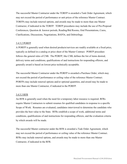The successful Master Contractor under the TORFP is awarded a Task Order Agreement, which may not exceed the period of performance or unit prices of the reference Master Contract. TORFPs may include renewal options, and awards may be made to more than one Master Contractor, if indicated in the TORFP. TORFP procedures may include the use of Pre-Proposal Conferences, Question & Answer periods, Reading/Bid Rooms, Oral Presentations, Cures, Clarifications, Discussions, Negotiations, BAFOs, and Debriefings.

#### 3.4.5.2 PORFP

A PORFP is generally used when desired products/services are readily available at a fixed price, typically as defined in a catalog or price sheet of the Master Contract. PORFP procedure follows the general rules of CSB. The PORFP, like CSB, defines the list of items desired, delivery terms and conditions, qualifications of and instructions for responding offerors, and generally award is based on lowest price technically acceptable.

The successful Master Contractor under the PORFP is awarded a Purchase Order, which may not exceed the period of performance or ceiling value of the reference Master Contract. PORFPs may include renewal options and/or optional quantities, and award may be made to more than one Master Contractor, if indicated in the PORFP.

#### 3.4.5.3 RFR

An RFR is generally used when the need for a temporary labor resource is required. RFRs require Master Contractors to submit resumes for qualified candidates in response to a specific Scope of Work. Resumes are evaluated, candidates interviewed to determine the candidate who provides the best value to the State. RFRs establish a scope of work, additional terms and conditions, qualifications of and instructions for responding offerors, and the evaluation criteria by which awards will be made.

The successful Master contractor under the RFR is awarded a Task Order Agreement, which may not exceed the period of performance or ceiling value of the reference Master Contract. RFRs may include renewal options, and awards may be made to more than one Master Contractor, if indicated in the RFR.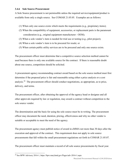#### **3.4.6 Sole Source Procurement**

A Sole Source procurement is not permissible unless the required service/equipment/product is available from only a single source. See COMAR 21.05.05. Examples are as follows:

- (1) When only one source exists which meets the requirements (e.g., proprietary items);
- (2) When the compatibility of equipment, accessories, or replacement parts is the paramount consideration (e.g., original equipment manufacturer - OEM);
- (3) When a sole vendor's item is needed for trial use or testing (e.g., pilot project);
- (4) When a sole vendor's item is to be procured for resale; or
- (5) When certain public utility services are to be procured and only one source exists.

The procurement officer must determine that a competitive source selection method cannot be used because there is only one available source for the contract. If there is reasonable doubt about one source, competition should be solicited.

A procurement agency recommending contract award based on the sole source method must first determine if the proposed price is fair and reasonable using either a price analysis or a cost analysis.[28](#page-32-0) The procurement officer should conduct negotiations, as appropriate, as to price, delivery, and terms.

The procurement officer, after obtaining the approval of the agency head or designee and all other approvals required by law or regulation, may award a contract without competition to the sole source vendor.

The determination and the basis for using the sole source must be in writing. The procurement officer may document the need, duration, pricing, effectiveness and why no other vendor is suitable or acceptable to meet the need of the agency.

The procurement agency must publish notice of award in eMMA not more than 30 days after the execution and approval of the contract. This requirement does not apply to sole source procurements that fall within the small procurement regulations set forth in COMAR 21.05.07.

The procurement officer must maintain a record of all sole source procurements by fiscal year.

<span id="page-32-0"></span><sup>28</sup> See BPW Advisory 2016-1,<https://bpw.maryland.gov/Pages/adv-2016-1.aspx>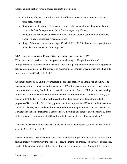Additional justification for sole source contracts may include:

- Continuity of Care: to provide continuity of human or social services care to current third-party clients;
- Situational: under *limited circumstances* when only one vendor has the practical ability to meet the State's requirements (seek Control Agency guidance);
- Bridge: to continue work under an expired or void or voidable contract to allow time to conduct a new competitive procurement; and
- Single Bids treated as sole sources per COMAR 21.05.02.20, allowing for negotiations of price, delivery, and terms, as appropriate.

#### **3.4.7 Intergovernmental Cooperative Purchasing Agreements (ICPA)**

ICPAs are entered into by at least one governmental entity<sup>29</sup>. The preferred form of intergovernmental cooperative purchasing is when participating governmental entities aggregate their common requirements for purposes of maximizing economies of scale when soliciting bids or proposals. See COMAR 21.05.09.

A primary procurement unit may participate in, conduct, sponsor, or administer an ICPA. The agency can initially sponsor or participate in an ICPA if the agency procurement officer issues a determination in writing that includes: (1) sufficient evidence that the ICPA provide cost savings to the State or promote administrative efficiencies or intergovernmental cooperation, and (2) a statement that the ICPA is in the best interest of the State, and is not intended to evade the purposes of Division II. If the primary procurement unit sponsors an ICPA, the solicitation must contain all clauses, terms, and conditions required under State procurement law and the contract is awarded in the same manner as a State contract, including any other required approvals. If the State is a named participant in the ICPA, the solicitation should be published on eMMA.

The use of ICPAs should not be used as a means to evade the purposes set forth under COMAR 21.01.01.03 or SFP § 13-110.

The documentation to support the written determination for approval may include at a minimum: pricing, market research, why the item is needed, the intended purpose, cost savings, efficiencies, length of the contract, and proof that the contract was competitively bid. Many ICPAs require

<span id="page-33-0"></span><sup>29</sup> See COMAR 21.05.09.01.B (1)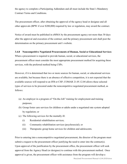the agency to complete a Participating Addendum and all must include the State's Mandatory Contract Terms and Conditions.

The procurement officer, after obtaining the approval of the agency head or designee and all other approvals (BPW if over \$200,000) required by law or regulation, may award the contract.

Notice of award must be published in eMMA by the procurement agency not more than 30 days after the approval and execution of the contract; and the primary procurement unit shall post the determination on the primary procurement unit's website.

#### **3.4.8 Noncompetitive Negotiated Procurements of Human, Social or Educational Services**

When a procurement is required to provide human, social, or educational services, the procurement officer must consider the most appropriate procurement method for acquiring these services, with the preferred method being CSPs.

However, if it is determined that two or more sources for human, social, or educational services are available, but because there is an absence of effective competition, it is not expected that the available sources will respond to an IFB or CSP, COMAR 21.05.12.04 allows these selected types of services to be procured under the noncompetitive negotiated procurement method, as follows:

- (a) An employer in a program of "On-the-Job" training for employment and training purposes;
- (b) Group foster care services for children or adults under a negotiated rate system adopted by regulation; or
- (c) The following services for the mentally ill:
	- (i) Residential rehabilitation services;
	- (ii) Community rehabilitation services (psychosocial); or
	- (iii) Therapeutic group home services for children and adolescents.

Prior to entering into a noncompetitive negotiated procurement, the director of the program must submit a request to the procurement officer justifying the need to enter into the contract(s). Upon approval of the justification by the procurement office, the procurement officer will seek approval from the Agency Head (or designee) to continue with this procurement method. Once approval is given, the procurement officer with assistance from the program will develop a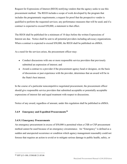Request for Expressions of Interest (REOI) notifying vendors that the agency seeks to use this procurement method. The REOI includes a scope of work developed by the program that includes the programmatic requirements; a request for proof that the prospective vendor is qualified to perform the requested services; any performance measures that will be used; and if a contract is expected to exceed \$50,000, a statement to that effect.

The REOI shall be published for a minimum of 10 days before the written Expressions of Interest are due. Notice shall be sent to all potential providers including advocacy organizations. When a contract is expected to exceed \$50,000, the REOI shall be published on eMMA.

As a need for the services arises, the procurement officer may:

- Conduct discussions with one or more responsible service providers that previously submitted an expression of interest; and
- Award a contract to a provider if the procurement agency head or designee, on the basis of discussions or past experience with the provider, determines that an award will be in the State's best interest.

In the course of a particular noncompetitive negotiated procurement, the procurement officer should give responsible service providers that submitted acceptable or potentially acceptable expressions of interest fair and equal treatment with respect to discussions.

Notice of any award, regardless of amount, under this regulation shall be published in eMMA.

#### **3.4.9 Emergency and Expedited Procurements[30](#page-35-0)**

#### **3.4.9.1 Emergency Procurements**

<span id="page-35-0"></span>An emergency procurement in excess of \$50,000 is permitted when a CSB or CSP procurement method cannot be used because of an emergency circumstance. An "Emergency" is defined as a sudden and unexpected occurrence or condition which agency management reasonably could not foresee that requires an action to avoid or to mitigate serious damage to public health, safety, or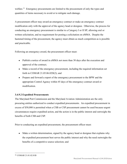welfare.<sup>31</sup> Emergency procurements are limited to the procurement of only the types and quantities of items necessary to avoid or to mitigate such damage.

A procurement officer may award an emergency contract or make an emergency contract modification only with the approval of the agency head or designee. Otherwise, the process for conducting an emergency procurement is similar to a Category I or II SP, allowing oral or written solicitation, and no requirement for posting a solicitation on eMMA. Despite the hastened timing of the procurement, the agency must obtain as much competition as is possible and practicable.

Following an emergency award, the procurement officer must:

- Publish a notice of award in eMMA not more than 30 days after the execution and approval of the contract;
- Make a record of the emergency procurement, including the required information set forth in COMAR 21.05.06.02D(2); and
- Prepare and forward a report of the emergency procurement to the BPW and the appropriate Control Agency within 45 days of the emergency contract award or modification.

## **3.4.9.2 Expedited Procurements**

The Maryland Port Commission and the Maryland Aviation Administration are the only procuring entities authorized to conduct expedited procurements. An expedited procurement in excess of \$50,000 is permitted when a CSB or CSP procurement cannot be used because urgent circumstances require expedited action, and the action is in the public interest and outweighs the benefits of both CSB and CSP.

Prior to conducting an expedited procurement, the procurement officer must:

• Make a written determination, signed by the agency head or designee that explains why the expedited procurement best serves the public interest and why the need outweighs the benefits of a competitive source selection; and

<span id="page-36-0"></span> <sup>31</sup> COMAR 21.01.02.01B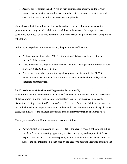• Receive approval from the BPW, via an item submitted for approval on the BPWs' Agenda that details the expected impact upon the State if the procurement is not made on an expedited basis, including lost revenues if applicable.

Competitive solicitation of bids or offers is the preferred method of making an expedited procurement, and may include public notice and direct solicitation. Noncompetitive source selection is permitted due to time constraints or another reason that precludes use of competitive solicitation.

Following an expedited procurement award, the procurement officer must:

- Publish a notice of award in eMMA not more than 30 days after the execution and approval of the contract;
- Make a record of the expedited procurement, including the required information set forth in COMAR 21.05.06.03E (2); and
- Prepare and forward a report of the expedited procurement award to the BPW for inclusion on the Department of Transportation's action agenda within 30 days of the expedited contract award.

## **3.4.10 Architectural Services and Engineering Services (A/E)**

In addition to having its own section of  $COMAR<sup>32</sup>$  $COMAR<sup>32</sup>$  $COMAR<sup>32</sup>$  and being applicable to only the Department of Transportation and the Department of General Services, A/E procurement also has the distinction of being a "modified" version of the RFP process. While the A/E firms are asked to respond with technical proposals as a result of the RFP issued, there are additional steps in some cases, and in all cases the financial proposal is handled differently than in traditional RFPs.

The major steps of the A/E procurement process are as follows:

<span id="page-37-0"></span>a. Advertisement of Expression of Interest (EOI) – the agency issues a notice to the public via eMMA that a contracting opportunity exists at the agency and requests that firms respond with their EOI. The EOIs typically contain information requested as part of the notice, and this information is then used by the agency to produce a reduced candidate list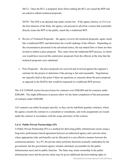(RCL). Once the RCL is prepared, those firms making the RCL are issued the RFP and are asked to submit technical proposals.

NOTE: The EOI is an optional step under current law. If the agency desires, or if it is in the best interests of the State, the agency can proceed to advertise a notice that essentially directly issues the RFP to the public, much like a traditional RFP.

- b. Review of Technical Proposals the agency reviews the technical proposals, again, much like a traditional RFP, and determines the overall rankings of the offerors. Depending on the circumstances presented in the advertised notice, the top ranked firm or firms are then invited to submit a price proposal. This varies from the traditional RFP process, in which you would have received the sealed price proposals from the offerors at the time that the technical proposals were submitted.
- c. Price Proposals the price proposals are received and reviewed against the engineer's estimate for the project to determine if the pricing is fair and reasonable. Negotiations are typically held at this point if there are questions or concerns about the price proposal, as opposed to the BAFOs that would be requested in a traditional RFP process.

The A/E COMAR section has provisions for contracts over \$200,000 and for contracts under \$200,000. The slight differences in process allow for the faster completion of the procurement of contracts under \$200,000.

A/E contracts can either be project specific, or they can be indefinite quantity contracts, where the agency awards the contract to a consultant or consultants, and work assignments are issued under the contract in accordance with the scope and terms of the contract.

#### **3.4.11 Public Private Partnerships (P3)**

A Public Private Partnership (P3) is a method for delivering public infrastructure assets using a long-term, performance-based agreement between an authorized agency and a private entity where appropriate risks and benefits can be allocated in a cost-effective manner between the contractual partners. In a P3, the private entity performs functions normally undertaken by the government, but the government agency remains ultimately accountable for the public infrastructure asset and its public function. The State may retain ownership in the public infrastructure asset and the private entity may be given additional decision-making rights in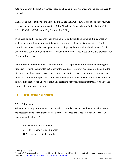determining how the asset is financed, developed, constructed, operated, and maintained over its life cycle.

The State agencies authorized to implement a P3 are the DGS, MDOT (for public infrastructure assets of any of its modal administrations), the Maryland Transportation Authority, the USM, MSU, SMCM, and Baltimore City Community College.

In general, an authorized agency may establish a P3 and execute an agreement in connection with any public infrastructure asset for which the authorized agency is responsible. Per the controlling statute<sup>33</sup>, authorized agencies are to adopt regulations and establish process for the development, solicitation, evaluation, award, and delivery of a P3. Regulations and processes for P3s are still in progress.

Prior to issuing a public notice of solicitation for a P3, a pre-solicitation report concerning the proposed P3 must be submitted to the Comptroller, State Treasurer, budget committees, and the Department of Legislative Services, as required in statute. After the review and comment period on the pre-solicitation report, and before issuing the public notice of solicitation, the authorized agency must request the BPWs to officially designate the public infrastructure asset as a P3 and approve the solicitation method.

## **3.5 Planning the Solicitation**

#### **3.5.1 Timelines**

When planning any procurement, consideration should be given to the time required to perform the necessary steps of the procurement. See the Timelines and Checklists for CSB and CSP Procurement Methods. [34](#page-39-1)

IFB: Generally 6 to 9 months. MS-IFB: Generally 9 to 12 months. RFP: Generally 12 to 18 months.

<span id="page-39-0"></span><sup>33</sup> SFP §10A-201(b)

<span id="page-39-1"></span><sup>&</sup>lt;sup>34</sup> See the "Timelines & Checklists for CSB & CSP Procurement Methods" link on the Maryland Procurement Staff webpage: <https://procurement.maryland.gov/procurement-staff/>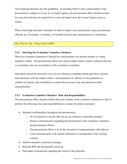The foregoing timelines are only guidelines. In deciding when to start a procurement, if the procurement is subject to review by a Control Agency, the procurement officer should account for extra time that may be required for review and approval by the Control Agency prior to release.

When structuring automatic reminders of when to begin a new procurement, many procurement officials use 18-months, 12-months, or 9-months based on the classification of a solicitation.

*Best Practice Tip: Always start EARLY.* 

### **3.5.2 Selecting the Evaluation Committee Members**

When an evaluation committee is desired for a procurement, the optimal number of voting members is three. The procurement officer may utilize subject matter experts, technical advisors or consultants who are not members of the evaluation committee.

Individuals should be selected to serve on an evaluation committee based upon their expertise and experience with the subject matter, varied perspectives, absence of any prejudices or conflicts of interest, and availability to commit the necessary time and attention to their responsibilities.

### **3.5.3 Evaluation Committee Members' Role and Responsibilities**

The procurement officer should confirm that each member of the evaluation committee is able to perform the following roles and responsibilities to conduct the initial evaluation:

- Maintain confidentiality throughout the procurement;
	- o Do not disclose to anyone that you are an evaluation committee member;
	- $\circ$  Restrict communication regarding the procurement to the evaluation committee and procurement officer;
	- o The procurement officer is to be the sole point of communication with offerors;
	- $\circ$  Limit communication with current contractors to management of the existing contract;
- Attend evaluation committee meetings;
- Read the RFP and all proposals received;
- Participate in discussions regarding the merits of the proposals;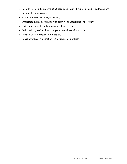- Identify items in the proposals that need to be clarified, supplemented or addressed and review offeror responses;
- Conduct reference checks, as needed;
- Participate in oral discussions with offerors, as appropriate or necessary;
- Determine strengths and deficiencies of each proposal;
- Independently rank technical proposals and financial proposals;
- Finalize overall proposal rankings; and
- Make award recommendation to the procurement officer.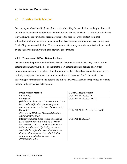## **4. Solicitation Preparation**

## **4.1 Drafting the Solicitation**

Once an agency has identified a need, the work of drafting the solicitation can begin. Start with the State's most current template for the procurement method selected. If a previous solicitation is available, the procurement officer may refer to the scope of work content from that solicitation, including any subsequent amendments or contract modifications, as a starting point for drafting the new solicitation. The procurement officer may consider any feedback provided by the vendor community during the previous procurement.

#### **4.1.1 Procurement Officer Determinations**

Depending on the procurement method selected, the procurement officer may need to write a determination justifying the use of that method. A determination is defined as a written procurement decision by a public official or employee that is based on written findings, and is typically a separate document, which is retained in a procurement file.<sup>[35](#page-42-0)</sup> For each of the following procurement methods, refer to the indicated COMAR section for specifics on what to include in the respective determination.

| <b>Procurement Method</b>                       | <b>COMAR Requirement</b>       |
|-------------------------------------------------|--------------------------------|
| Sole Source                                     | COMAR 21.05.05.02B             |
| Emergency                                       | COMAR 21.05.06.02.D.2(a)       |
| (While not technically a "determination," the   |                                |
| basis and justification of an emergency         |                                |
| procurement must be included in its record.)    |                                |
| Expedited                                       | COMAR 21.05.06.03.A.1(a) and C |
| (For Use by MPA and Maryland Aviation           |                                |
| Administration only)                            |                                |
| <b>Intergovernmental Cooperative Purchasing</b> | COMAR 21.05.09.04              |
| (This determination is made by a Primary        |                                |
| Procurement Unit: STO, DGS, MDOT, or            |                                |
| MPA as authorized. Typically, an agency         |                                |
| sends the basis for the determination to the    |                                |
| Primary Procurement Unit, which is then         |                                |
| reviewed and adopted by the Primary             |                                |
| Procurement Unit.                               |                                |

<span id="page-42-0"></span><sup>35</sup> See COMAR 21.01.02.01(34)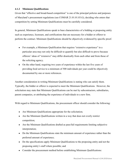### **4.1.2 Minimum Qualifications**

Given that "effective and broad-based competition" is one of the principal policies and purposes of Maryland's procurement regulations (see COMAR 21.01.01.03.G), deciding who enters that competition by setting Minimum Qualifications must be carefully considered.

In general, Minimum Qualifications speak to base characteristics of a bidding or proposing entity such as experience, licensure, and certifications that are necessary for a bidder or offeror to perform the contract. Minimum Qualifications should be objectively evidenced by specific proof.

- For example, a Minimum Qualification that requires "extensive experience" in a particular area may not only be difficult to quantify but also difficult to prove because offerors' ideas of "extensive" may differ drastically from each other and from those of the soliciting agency.
- On the other hand, requiring two years of experience within the last five years of providing food service to a minimum of 500 individuals per year could be objectively documented by one or more references.

Another consideration in writing Minimum Qualifications is stating who can satisfy them. Typically, the bidder or offeror is expected to meet the Minimum Qualifications. However, the solicitation may state that Minimum Qualifications can be met by subcontractors, subsidiaries, parent companies, or attributing the experience of individuals to a new firm.

With regard to Minimum Qualifications, the procurement officer should consider the following:

- Are Minimum Qualifications appropriate for the solicitation;
- Are the Minimum Qualifications written in a way that does not overly restrict competition;
- Are the Minimum Qualifications drafted as pass/fail requirements limiting subjective interpretation;
- Do the Minimum Qualifications state the minimum amount of experience rather than the preferred amount of experience;
- Do the specifications apply Minimum Qualifications to the proposing entity and not the proposing entity's staff where possible; and
- Consider the procurement method before establishing Minimum Qualifications: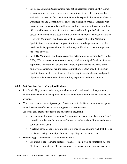- For RFPs, Minimum Qualifications may not be necessary where an RFP allows an agency to weigh the experience and capabilities of each offeror during the evaluation process. In fact, the State RFP template specifically includes "Offeror Qualifications and Capabilities" as one of the evaluation criteria. Offerors with less experience or capability would receive a lower ranking in this category than offerors with more, so it is often not necessary to limit the pool of offerors at the outset when ultimately the best offerors will receive a higher technical evaluation. (However, Minimum Qualifications may be necessary where the Minimum Qualification is a mandatory component of the work to be performed, e.g., the vendor or its key personnel must have license, certification, or permit to perform the scope of work.)
- $\circ$  For IFBs, Minimum Qualifications assist in determining responsibility.<sup>[36](#page-44-0)</sup> Unlike RFPs, IFBs have no evaluation component, so Minimum Qualifications often are appropriate to ensure that bidders are capable of performance and serve as the primary mechanism for making that determination. To that end, the Minimum Qualifications should be written such that the requirement and associated proof objectively demonstrate the bidder's ability to perform under the contract.

### **4.1.3 Best Practices for Drafting Specifications**

- Start the drafting process early enough to allow careful consideration of requirements, including those that have been published before, and ample time for review, updates, and revisions;
- Write clear, concise, unambiguous specifications so both the State and contractor operate under the same set of expectations during contract performance;
- Use terms consistently throughout the solicitation document;
	- For example, the word "assessment" should not be used in one place while "test" is used in another and "examination" is used elsewhere when all refer to the same contract activity; and
	- A related best practice is defining the terms used in a solicitation such that there is no dispute during contract performance regarding their meaning; and
- Avoid using passive voice in writing the solicitation;
	- For example the following sentence: "The assessment will be completed by June 30 of each contract year." In this example, it is unclear whom the actor is or who

<span id="page-44-0"></span><sup>&</sup>lt;sup>36</sup> See COMAR 21.01.02.01(77) for definition of "responsible."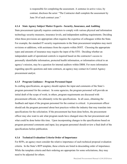is responsible for completing the assessment. A sentence in active voice, by contrast, discloses the actor: "The Contractor shall complete the assessment by June 30 of each contract year."

#### **4.1.4 State Agency Subject Matter Experts - Security, Insurance, and Auditing**

State procurement typically requires contractors to comply with various physical and information technology security measures, insurance levels, and independent auditing requirements. Deciding when these provisions are appropriate often requires the expertise of colleagues within the State. For example, the standard IT security requirements in the State procurement templates may merit revisions or additions, with assistance from the experts within DOIT. Choosing the appropriate types and amounts of insurance may require the input of the STO. Deciding whether an independent audit of operational controls is required based on the contractor's access to personally identifiable information, protected health information, or information critical to an agency's mission, may be a question for internal auditors within DBM. For more information regarding specific questions and state contracts, an agency may contact its Control Agency procurement analyst.

#### **4.1.5 Program Guidance - Program Personnel Input**

In crafting specifications, an agency should capture the input and comments of the State's program personnel for the contract. In some agencies, the program personnel will provide an initial draft of the scope of work; in others, program requirements are discussed with procurement officials, who ultimately write the specifications. In all cases, obtaining the feedback and input of the program personnel for the contract is critical. A procurement officer should ask the program personnel about best practices within the industry that may translate into specifications for the solicitation. If the procurement has been done before, the procurement officer may also want to ask what program needs have changed since the last procurement and what could be done better this time. Upon incorporating changes to the specifications based on program personnel comments and input, key program personnel should review a final draft of the specifications before publication.

#### **4.1.6 Technical Evaluation Criteria Order of Importance**

For RFPs, an agency must consider the relative importance of each technical proposal evaluation criteria. In the State's RFP template, these criteria are listed in descending order of importance. While the template criteria and their ordering are appropriate for some solicitations, they may need to be adjusted for others.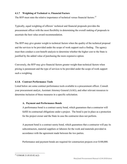### **4.1.7 Weighting of Technical vs. Financial Factors**

The RFP must state the relative importance of technical versus financial factors.<sup>[37](#page-46-0)</sup>

Typically, equal weighting of offerors' technical and financial proposals provides the procurement officer with the most flexibility in determining the overall ranking of proposals to ascertain the best value award recommendation.

The RFP may give greater weight to technical factors when the quality of the technical proposal and the services to be provided under the scope of work support such a finding. The agency must then conduct a cost-benefit analysis to determine whether the higher cost to the State is justified by the added value of purchasing the more expensive option.

Conversely, the RFP may give financial factors greater weight than technical factors when pricing is paramount and the type of services to be provided under the scope of work support such a weighting.

#### **4.1.8. Contract Performance Tools**

Listed below are some contract performance tools available to a procurement officer. Consult your procurement analyst, Assistant Attorney General (AAG), and other relevant resources to determine inclusion of these measures in a specific solicitation.

#### **A. Payment and Performance Bonds**

A performance bond is a contract surety bond, which guarantees that a contractor will fulfill its contractual obligations under a project. The bond is put in place as a protection for the project owner and the State in case the contractor does not perform.

A payment bond is a contract surety bond, which guarantees that a contractor will pay its subcontractors, material suppliers or laborers for the work and materials provided in accordance with the agreement made between the two parties.

Performance and payment bonds are required for construction projects over \$100,000.

<span id="page-46-0"></span><sup>37</sup> COMAR 21.05.03.02.A(2)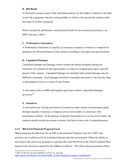#### **B. Bid Bonds**

A bid bond is issued as part of the solicitation process by the bidder or offeror to the State to provide a guarantee that the winning bidder or offeror will execute the contract under the terms of its bid or proposal.

When issuing bid, performance and payment bonds for non-construction projects, see BPW Advisory 1996-3.

### **C. Performance Guarantees**

A Performance Guarantee is issued by an insurance company or bank to a contractor to guarantee the full performance of the contract according to the plans and specifications.

## **D. Liquidated Damages**

Liquidated damages are damages whose amount the parties designate during the formation of a contract for the injured party to collect as compensation upon a specific breach of the contract. Liquidated damages are included when actual damages may be difficult to ascertain. Such damages should be reasonably proximate to the loss the State is anticipated to incur as a result of such breach.

A solicitation with an MBE participation goal must contain a liquidated damages provision.[38](#page-47-0)

### **E. Incentives**

A solicitation may include provisions to incentivize achievement of performance goals through stipends or bonuses, or impose service level credits in connection with performance failures. In the absence of specific disincentives or service level credits, the contract should include provisions to protect the State in the event of nonperformance.

### **4.1.9 Bid Form/Financial Proposal Form**

When preparing the Bid Form for an IFB or the Financial Proposal Form for a RFP, best practices are to utilize an Excel worksheet that provides the procurement officer the ability to lock down cells and set up formulas to calculate the Total Bid Price or the Total Evaluated Price based on the unit prices entered by the bidders or offerors. This allows the procurement officer

<span id="page-47-0"></span><sup>38</sup> SFP 14-303 (b) (6) and COMAR 21.07.01.14. See also

[https://goma.maryland.gov/Documents/MBE\\_Toolkit/Liquidated\\_Damages\\_Guideline.pdf](https://goma.maryland.gov/Documents/MBE_Toolkit/Liquidated_Damages_Guideline.pdf)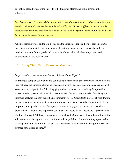to confirm that all prices were entered by the bidder or offeror and limits errors on the submissions.

*Best Practice Tip: Test your Bid or Financial Proposal forms prior to posting the solicitation by entering prices in the unlocked cells to be utilized by the bidders or offerors to make sure the calculations/formulas are correct in the locked cells, and by trying to enter data in the cells with the formulas to ensure they are locked.*

When requesting prices on the Bid Forms and the Financial Proposal Forms, each line on the price form should match a specific deliverable in the scope of work. Historical data from previous contracts for the goods and services is often used to calculate usage needs and requirements for the new contract.

## **4.2 Using Third Party Consultant Contracts**

## *Do you need to contract with an Industry/Subject Matter Expert?*

In drafting a complex solicitation and conducting the associated procurement in which the State may not have the subject matter expertise, an agency may consider procuring a consultant with knowledge in that particular field. Engaging such a consultant or consulting firm provides access to industry standards, emerging best practices, financial trends, market familiarity and informed analyses that may benefit a procurement project. Consultants may assist with drafting the specifications, responding to vendor questions, and assisting with the evaluation of offeror proposals, among other tasks. If an agency chooses to engage a consultant to assist with a procurement, it should also require the consultant to execute a Non-Disclosure Agreement and Conflict of Interest Affidavit. Consultants retained by the State to assist with the drafting of the solicitation or assisting in the selection for award are prohibited from submitting a proposal or assisting another in submitting a proposal for the subject solicitation or working for the selected awardee for a period of time. [39](#page-48-0)

<span id="page-48-0"></span><sup>39</sup> SFP § 13-212.1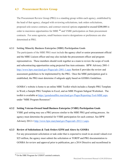## **4.3 Procurement Review Group**

The Procurement Review Group (PRG) is a standing group within each agency, established by the head of that agency, charged with reviewing solicitations, task orders solicitations, proposed sole-source contracts, and contract renewal options expected to exceed \$200,000 in order to maximize opportunities for MBE <sup>[40](#page-49-0)</sup> and VSBE participation on State procurement contracts. For some agencies, small business reserve designations or preferences are also determined at PRG.

#### **4.3.1 Setting Minority Business Enterprise (MBE) Participation Goals**

The participants of the MBE PRG must include the agency chief or senior procurement official and the MBE Liaison officer and may also include the procurement officer and program representatives. These members should work together as a team to review the scope of work and subcontracting opportunities using projected line item estimates. BPW Advisory 2001-1 <http://www.bpw.maryland.gov/Pages/adv-2001-1.aspx> Section E provides the review and assessment guidelines to be implemented by the PRG. Once the MBE participation goal is established, the PRG must determine if subgoals apply based on GOSBA Guidelines.

GOSBA's website is home to an online MBE Toolkit which includes a Sample PRG Template in Word, a Sample PRG Template in Excel, and an MBE Program Subgoal Worksheet. The toolkit is available at<https://gomdsmallbiz.maryland.gov/Pages/Reporting-Tool-MBE.aspx> under "MBE Program Resources".

### **4.3.2 Setting Veteran-Owned Small Business Enterprise (VSBE) Participation Goals**

VSBE goal setting may use a PRG process similar to the MBE PRG goal setting process. An agency must determine the potential for VSBE participation for each contract. See BPW Advisory 2012-1 [http://www.bpw.maryland.gov/Pages/adv-2012-1.aspx.](http://www.bpw.maryland.gov/Pages/adv-2012-1.aspx)

### **4.3.3 Review of Solicitations & Task Orders \$25M and Above by GOSBA**

For any procurement solicitation or task order that is expected to result in an award valued over \$25 million, the agency must submit the solicitation or TORFP and PRG documentation to GOSBA for review and approval prior to publication, per a 2014 Directive and reconfirmed in

<span id="page-49-0"></span><sup>40</sup> Or the DBE Program for USDOT assisted contracts.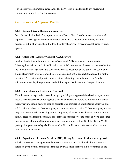an Executive Memorandum dated April 10, 2019. This is in addition to any review and approval required by a Control Agency.

## **4.4 Review and Approval Process**

#### **4.4.1 Agency Internal Review and Approval**

Once the solicitation is drafted, a procurement officer will need to obtain necessary internal approvals. These approvals may include sign off by one's supervisor or Agency Head (or designee), but in all events should follow the internal approval procedures established by each agency.

### **4.4.2 Office of the Attorney General (OAG) Review**

Sending the draft solicitation to an agency's assigned AAG for review is a best practice following internal approval of a solicitation. An AAG must review the contract that results from the solicitation for legal form and sufficiency prior to execution by the State. The solicitation and its attachments are incorporated by reference as part of the contract; therefore, it is best to have the AAG review and provide advice before publishing a solicitation to confirm the solicitation meets legal requirements and minimize possible issues with the specifications.

## **4.4.3 Control Agency Review and Approval**

If a solicitation is expected to exceed an agency's delegated approval threshold, an agency must receive the appropriate Control Agency's review and approval before its publication. Control Agency review should occur as soon as possible after completion of all internal approvals and AAG review to allow the Control Agency a reasonable time to review.<sup>[41](#page-50-0)</sup> Control Agency review may take several weeks depending on the complexity of issues to be addressed and the time an agency needs to address those issues for clarity and sufficiency of the scope of work; associated pricing forms; Minimum Qualifications if any; evaluation weighting; SBR, MBE, and VSBE participation goals and subgoals, if any; vendor direct solicitation lists; and vendor response time, among other things.

## **4.4.4 Department of Human Services (DHS) Hiring Agreement Review and Approval**

A hiring agreement is an agreement between a contractor and DHS by which the contractor agrees to give potential candidates identified by DHS first priority to fill job openings on the

<span id="page-50-0"></span><sup>41</sup> See COMAR 21.02.03.02.C (6).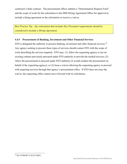contractor's State contract. The procurement officer submits a "Determination Request Form" and the scope of work for the solicitation to the DHS Hiring Agreement Office for approval to include a hiring agreement in the solicitation or receive a waiver.

*Best Practice Tip: Any solicitation that includes Key Personnel requirements should be considered to include a Hiring Agreement.*

### **4.4.5 Procurement of Banking, Investment and Other Financial Services**

STO is delegated the authority to procure banking, investment and other financial services.<sup>[42](#page-51-0)</sup> Any agency seeking to procure these types of services should contact STO with the scope of work describing the services required. STO may: (1) Allow the requesting agency to use an existing contract previously procured under STO authority to provide the needed services; (2) Allow the procurement to proceed under STO authority (it would conduct the procurement on behalf of the requesting agency); or (3) Issue a waiver allowing the requesting agency to proceed with acquiring services through that agency's procurement office. If STO does not issue the waiver, the requesting office cannot move forward with its solicitation.

<span id="page-51-0"></span><sup>42</sup> Per COMAR 21.02.01.04(E)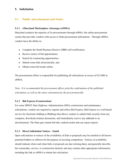## **5. Solicitation**

## **5.1 Public Advertisement and Notice**

#### **5.1.1 eMaryland Marketplace** *Advantage* **(eMMA)**

Maryland conducts the majority of its procurements through eMMA, the online procurement system that provides vendors with access to State procurement information. Through eMMA, vendors have the ability to:

- Complete the Small Business Reserve (SBR) self-certification;
- Receive notice of bid opportunities;
- Search for contracting opportunities;
- Submit some bids electronically; and
- Obtain some bid results online.

The procurement officer is responsible for publishing all solicitations in excess of \$15,000 in eMMA.

*Note: It is recommended the procurement officer print the confirmation of the published solicitation, as well as the entire solicitation for the procurement file.*

#### **5.1.2 Bid Express (Construction)**

For some MDOT State Highway Administration (SHA) construction and maintenance solicitations, vendors are required to register and utilize Bid Express. Bid Express is a web-based service for electronic bidding (e-Bidding) that allows vendors to submit bids securely from any computer, download contract documents, and immediately receive any addenda to an advertisement. The State gets instant bid tabs, ranked results and can export reports.

#### **5.1.3 Direct Solicitation Notices – Email**

Open solicitations or notices of the availability of bids or proposals may be emailed to all known potential bidders or offerors for the purpose of securing competition. Notices of availability should indicate where and when bids or proposals are due (closing date), and generally describe the commodity, service, or construction desired, and may contain other appropriate information, including the link to eMMA to obtain the solicitation.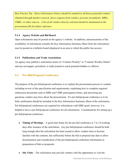*Best Practice Tip: Direct Solicitation Notices should be emailed to all known potential vendors obtained through market research, direct requests from vendors, previous incumbents, MBEs, VSBEs, or other sources. A list of all vendors directly solicited should be maintained in the procurement file for future reference.*

#### **5.1.4 Agency Website and Bid Board**

Open solicitations may be posted on the agency's website. In addition, announcements of the availability of solicitations (usually the Key Information Summary Sheet from the solicitation) may be posted on a bulletin board (displayed in an area to which the public has access).

### **5.1.5 Publications and Trade Associations**

An agency may publish a solicitation notice in "Contract Weekly" or "Contract Weekly Online" and any newspaper, periodical, or trade journal to reach potential bidders or offerors.

## **5.2 Pre-Bid/Proposal Conference**

The purpose of the pre-bid/proposal conference is to explain the procurement process to vendors including review of the specification and requirements, explaining how to complete required submission documents such as MBE and VSBE participation forms, and answering any questions vendors may have about the procurement. If a pre-bid/proposal conference is to be held, notification should be included in the Key Information Summary Sheet of the solicitation. Pre-bid/proposal conferences are required for solicitations with MBE goals; however, it is helpful to have a pre-bid/proposal conference for all solicitations. Considerations for setting up a pre-bid/proposal conference:

- **Timing of Meetings** A good time frame for the pre-bid conference is 7 to 14 working days after issuance of the solicitation. Any pre-bid/proposal conference should be held long enough after the solicitation has been issued to allow vendors time to become familiar with the contents, but sufficiently before the bid or proposal due date to allow dissemination and consideration of the pre-bid/proposal conference information in preparation of bids or proposals.
- **Site Visits** The solicitation may provide vendors with the opportunity to visit the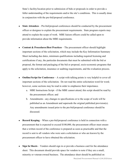State's facility/location prior to submission of bids or proposals in order to provide a fuller understanding of the requirements and/or the site's conditions. This is usually done in conjunction with the pre-bid/proposal conference.

- **State Attendees** Pre-bid/proposal conferences should be conducted by the procurement officer or designee to explain the procurement requirements. State program experts may attend to explain the scope of work. MBE liaison officers could be called upon to provide information about the MBE requirements.
- **Content & Procedures/Best Practices** The procurement officer should highlight important sections of the solicitation, which may include the Key Information Summary Sheet including due dates, minimum qualifications including required licensing and certifications if any, the particular documents that must be submitted with the bid or proposal, the format and packaging of the bid or proposal, socio-economic programs that apply to the solicitation, insurance or auditing requirements, and the evaluation process.
- **Outline/Script for Conference** A script with talking points is very helpful to cover all important sections of the solicitation. Do not read the entire solicitation word for word; however, some sections may be read in order to emphasize their importance.
	- a. MBE Instructions Script if the MBE cannot attend, this script should be read by the procurement officer; and
	- b. Amendments any changes to specifications or to the scope of work will be published as an Amendment and supersede the original published provision(s). Any amendments issued prior to the pre-bid/proposal conference should be discussed.
- **Record Keeping** When a pre-bid/proposal conference is held in connection with a procurement that is expected to exceed \$100,000, the procurement officer must ensure that a written record of the conference is prepared as soon as practicable and that the record is sent to all vendors who were sent a solicitation or who are known by the procurement officer to have obtained the solicitation.
- **Sign In Sheets** Vendors should sign in or provide a business card for the attendance sheet. This document should provide space for vendors to note if they are a small, minority or veteran-owned business. The attendance sheet should be published on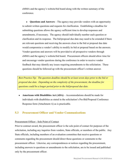eMMA and the agency's website/bid board along with the written summary of the conference.

● **Questions and Answers** – The agency may provide vendors with an opportunity to submit written questions and requests for clarification. Establishing a deadline for submitting questions allows the agency sufficient time to develop responses and amendments, if necessary. The agency should individually number each question or clarification and its response. The bid/proposal due date may need to be extended if there are relevant questions and receiving the answers close to the bid or proposal due date would compromise a vendor's ability to modify its bid or proposal based on the answers. Vendor questions and answers will be provided to all prospective vendors through eMMA and the agency's website/bid board. Procurement officers should allow time for and encourage vendor questions during the conference in order to receive vendor feedback that may identify any issues requiring amendments to the solicitation. These questions should be followed up with the procurement officer's written answer.

*Best Practice Tip: The question deadline should be at least seven days prior to the bid or proposal due date. Depending on the complexity of the procurement, the deadline for questions could be a longer period prior to the bid/proposal due date.*

• **Americans with Disabilities Act (ADA)** – Accommodations should be made for individuals with disabilities as stated in the solicitation's Pre-Bid/Proposal Conference Response form (Attachment A) as is practicable.

## **5.3 Procurement Officer and Vendor Communications**

#### Procurement Officer - Sole Point of Contact

Prior to contract award, the procurement officer is the sole point of contact for purposes of the solicitation, including any inquiries from vendors, State officials, or members of the public. Any State officials, including members of an evaluation committee that receive questions or comments regarding the procurement should direct those questions or comments to the procurement officer. Likewise, any correspondences or notices regarding the procurement, including answers to questions or amendments to the solicitation, are to be issued and published only by the procurement officer.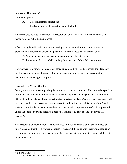## Permissible Disclosures $\frac{43}{5}$  $\frac{43}{5}$  $\frac{43}{5}$

Before bid opening:

- A. Bids shall remain sealed; and
- B. The State may not disclose the name of a bidder.

Before the closing date for proposals, a procurement officer may not disclose the name of a person who has submitted a proposal.

After issuing the solicitation and before making a recommendation for contract award, a procurement officer may disclose to a person outside the Executive Department only:

- A. Whether a decision has been made regarding a solicitation; and
- B. Information that is available to the public under the Public Information Act.<sup>[44](#page-56-1)</sup>

Before awarding a procurement contract based on competitive sealed proposals, the State may not disclose the contents of a proposal to any person other than a person responsible for evaluating or reviewing the proposal.

### Responding to Vendor Questions

For any questions received regarding the procurement, the procurement officer should respond in writing as accurately and completely as practicable. In preparing a response, the procurement officer should consult with State subject matter experts as needed. Questions and responses shall be issued to all vendors known to have received the solicitation and published on eMMA with sufficient time for the answers to be taken into consideration in preparation of a bid or proposal, unless the question pertains solely to a particular vendor (e.g. how do I log into my eMMA account?).

Any response that deviates from what is provided in the solicitation shall be accompanied by a published amendment. If any question raised issues about the solicitation that would require an amendment, the procurement officer should also consider extending the bid or proposal due date in an amendment.

<span id="page-56-0"></span> <sup>43</sup> COMAR 21.05.01.05

<span id="page-56-1"></span><sup>44</sup> Public Information Act, MD. Code Ann, General Provisions Article, Title 4.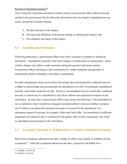### Record of Solicitation Inquiries $\frac{45}{5}$  $\frac{45}{5}$  $\frac{45}{5}$

After issuing the solicitation and before contract award, a procurement officer shall record and include in the procurement file the following information from any inquiry originating from any source outside the Executive Branch:

- A. The date and time of the inquiry;
- B. The name and affiliation of the person making, or initiating the inquiry; and
- C. The substance and nature of the inquiry.

## **5.4 Amending the Solicitation**

Following publication, a procurement officer may find it necessary or prudent to amend the solicitation. Amendments typically result from changes or clarifications to requirements. Some of these changes may follow vendor questions during the question and answer period. Procurement officers should give due consideration to vendor comments and questions in determining whether amending a solicitation is appropriate.

For bids, amendments always occur before the bid due date and should allow sufficient time for a bidder to acknowledge and accommodate the amendment in its bid. For proposals, amendments typically issue before proposals are due. However, an amendment may be issued after a proposal due date, in which case it is distributed to only those offerors who proposed in response to the solicitation. In such cases, a procurement officer must ensure the following: 1) the amendment is not so substantive that it would have changed a potential offeror's decision whether to propose and 2) offerors can adjust their pricing if necessary to account for the amendment via a subsequent request for pricing, for example, a Best and Final Offer. An amendment of sufficient magnitude and substance that is considered by the agency after receipt of proposals, may result in cancellation and reissuance of the solicitation.

## **5.5 Accepting a Revision or Withdrawal to a Vendor's Submitted Response**

Before bid or proposal submission due date, a bidder or offeror may modify or withdraw its bid or proposal.[46](#page-57-1) After bid or proposal submission due date, a request by the bidder for a

<span id="page-57-0"></span><sup>45</sup> COMAR 21.05.01.06

<span id="page-57-1"></span><sup>46</sup> COMAR 21.05.02.09.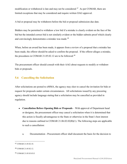modification or withdrawal is late and may not be considered.<sup>47</sup> As per COMAR, there are limited exceptions that may be considered and require written OAG approval.

A bid or proposal may be withdrawn before the bid or proposal submission due date.

Bidders may be permitted to withdraw a low bid if a mistake is clearly evident on the face of the bid but the intended correct bid is not similarly evident or the bidder submits proof which clearly and convincingly demonstrates a mistake was made.<sup>[48](#page-58-1)</sup>

When, before an award has been made, it appears from a review of a proposal that a mistake has been made, the offeror should be asked to confirm the proposal. If the offeror alleges a mistake, the procedures in COMAR 21.05.02.12 are to be followed.<sup>[49](#page-58-2)</sup>

The procurement officer should consult with their AAG about requests to modify or withdraw bids or proposals.

## **5.6 Cancelling the Solicitation**

After solicitations are posted to eMMA, the agency may elect to cancel the invitation for bids or request for proposals under certain circumstances. All solicitations issued by any procuring agency should include language stating that a solicitation may be cancelled as provided in regulation.

- **Cancellation Before Opening Bids or Proposals** With approval of Department head or designee, the procurement officer may cancel a solicitation when it is determined that this action is fiscally advantageous to the State or otherwise in the State's best interest due to reasons outlined in COMAR 21.06.02.02(B)(1). The following steps are applicable to such a cancellation:
	- a. Documentation Procurement officer shall document the basis for the decision to

<span id="page-58-0"></span> <sup>47</sup> COMAR 21.05.02.10.

<span id="page-58-1"></span><sup>48</sup> COMAR 21.05.02.12.

<span id="page-58-2"></span><sup>49</sup> COMAR 21.05.03.03.E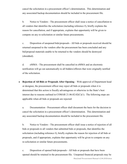cancel the solicitation in a procurement officer's determination. This determination and any associated backup documentation should be included in the procurement file.

b. Notice to Vendors - The procurement officer shall issue a notice of cancellation to all vendors that identifies the solicitation (including reference #), briefly explains the reason for cancellation, and if appropriate, explains that opportunity will be given to compete on any re-solicitation or similar future procurements.

c. Disposition of unopened bids/proposals - All bids or proposals received should be returned unopened to the vendors after the procurement has been concluded and any bid/proposal materials unable to be returned to the vendors should be destroyed (shredded).

d. eMMA - The procurement shall be cancelled in eMMA and an electronic notification will go out automatically to all bidders/offerors that were originally notified of the solicitation.

● **Rejection of All Bids or Proposals After Opening** – With approval of Department head or designee, the procurement officer may reject all bids or proposals when it is determined that this action is fiscally advantageous or otherwise in the State's best interest due to reasons outlined in COMAR 21.06.02.02(C)(1). The following steps are applicable when all bids or proposals are rejected:

a. Documentation - Procurement officer shall document the basis for the decision to cancel the solicitation in a procurement officer's determination. This determination and any associated backup documentation should be included in the procurement file.

b. Notice to Vendors - The procurement officer shall issue a notice of rejection of all bids or proposals to all vendors that submitted bids or proposals, that identifies the solicitation (including reference #), briefly explains the reason for rejection of all bids or proposals, and if appropriate, explains that opportunity will be given to compete on any re-solicitation or similar future procurements.

c. Disposition of opened bids/proposals - All bids or proposals that have been opened should be retained in the procurement file. Unopened financial proposals may be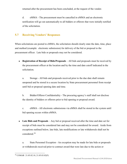returned after the procurement has been concluded, at the request of the vendor.

d. eMMA - The procurement must be cancelled in eMMA and an electronic notification will go out automatically to all bidders or offerors that were initially notified of the solicitation.

## **5.7 Receiving Vendors' Responses**

When solicitations are posted to eMMA, the solicitation should clearly state the date, time, place and method (example: electronic submission) for delivery of the bid or proposal to the procurement officer. Late bids or proposals may not be considered.

● **Registration of Receipt of Bids/Proposals** – All bids and proposals must be received by the procurement officer at the location and by the time and date cutoff indicated in the solicitation.

a. Storage - All bids and proposals received prior to the due date shall remain unopened and be stored in a secure location by State procurement personnel from receipt until bid or proposal opening date and time.

b. Bidder/Offeror Confidentiality - The procuring agency's staff shall not disclose the identity of bidders or offerors prior to bid opening or proposal award.

c. eMMA - All electronic submissions via eMMA shall be stored in the system until bid opening occurs within eMMA.

• Late Bids and Proposals – Any bid or proposal received after the time and date set for receipt of bids must be considered late and may not be considered for award. Aside from exceptions outlined below, late bids, late modifications or late withdrawals shall not be considered.[50](#page-60-0) 

a. State Personnel Exception - An exception may be made for late bids or proposals or withdrawals received prior to contract award that were late due to the action or

<span id="page-60-0"></span><sup>50</sup> COMAR 21.05.02.10, 21.05.03.02(F)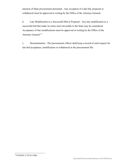inaction of State procurement personnel. Any exception of a late bid, proposal or withdrawal must be approved in writing by the Office of the Attorney General.

b. Late Modification to a Successful Bid or Proposal - Any late modification to a successful bid that make its terms more favorable to the State may be considered. Acceptance of late modifications must be approved in writing by the Office of the Attorney General.<sup>[51](#page-61-0)</sup>

<span id="page-61-0"></span>c. Documentation - The procurement officer shall keep a record of each request for late bid acceptance, modification or withdrawal in the procurement file.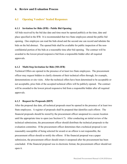### **6. Review and Evaluation Process**

## **6.1 Opening Vendors' Sealed Responses**

#### **6.1.1 Invitation for Bids (IFB) - Public Bid Opening**

All bids received by the bid due date and time must be opened publicly at the time, date and place specified in the IFB. It is recommended that two State employees attend the public bid opening. One employee can read the bids aloud and the second one can record and tabulate the bids on the bid abstract. The opened bids shall be available for public inspection of the nonconfidential portion of the bids at a reasonable time after bid opening. The contract will be awarded to the lowest priced responsive bid from a responsible bidder after all required approvals.

#### **6.1.2 Multi-Step Invitation for Bids (MS-IFB)**

Technical Offers are opened in the presence of at least two State employees. The procurement officer may request bidders to clarify elements of their technical offers through, for example, demonstrations or site visits. After the technical offers have been determined to be acceptable or not acceptable, price bids of the accepted technical offers will be publicly opened. The contract will be awarded to the lowest priced responsive bid from a responsible bidder after all required approvals.

#### **6.1.3 Request for Proposals (RFP)**

After the proposal due date, all technical proposals must be opened in the presence of at least two State employees. A register of proposals shall be prepared that identifies each offeror. The financial proposals should be stored by the procurement officer unopened in a secure location until the appropriate time to open (see Section 6.7). After conducting an initial review of the technical submissions, the procurement officer should distribute the technical proposals to the evaluation committee. If the procurement officer determines that a technical proposal is not reasonably susceptible of being selected for award or an offeror is not responsible, the procurement officer should so notify the offeror. If the financial proposal was a paper submission, the procurement officer should return it unopened after the procurement has been concluded. If the financial proposal was in electronic format, the procurement officer should not open it.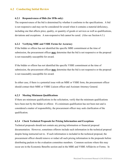## **6.2 Conducting Initial Review**

#### **6.2.1 Responsiveness of Bids (for IFBs only)**

The responsiveness of the bid is determined by whether it conforms to the specifications. A bid is not responsive and may not be considered for award when it contains a material deficiency, including one that affects price, quality, or quantity of goods or services as well as qualifications, deviations and exceptions. A non-responsive bid cannot be cured. (Also see Section 6.3.)

#### **6.2.2 Verifying MBE and VSBE Forms for Accuracy**

If the bidder or offeror has not identified the specific MBE commitment at the time of submission, the procurement officer **may** determine that the bid is not responsive or the proposal is not reasonably susceptible for award.

If the bidder or offeror has not identified the specific VSBE commitment at the time of submission, the procurement officer **may** determine that the bid is not responsive or the proposal is not reasonably susceptible for award.

In either case, if there is a potential issue with an MBE or VSBE form, the procurement officer should contact their MBE or VSBE Liaison officer and Assistant Attorney General.

#### **6.2.3 Meeting Minimum Qualifications**

If there are minimum qualifications in the solicitation, verify that the minimum qualifications have been met by the bidder or offeror. If a minimum qualification has not been met and is considered a matter of responsibility, the procurement officer may seek clarification of the qualification.

#### **6.2.4 Check Technical Proposals for Pricing Information and Exceptions**

Technical proposals should not contain any pricing information or financial proposal documentation. However, sometimes offerors include such information in the technical proposal despite being instructed not to. If such information is included in the technical proposal, the procurement officer should remove or redact all such pricing information in the proposals before distributing packets to the evaluation committee members. Common sections where this may occur are in the Economic Benefits section and in the MBE and VSBE Affidavits or Forms. In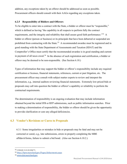addition, any exceptions taken by an offeror should be addressed as soon as possible. Procurement officers should consult with their AAGs regarding any exceptions taken.

#### **6.2.5 Responsibility of Bidders and Offerors**

To be eligible to enter into a contract with the State, a bidder or offeror must be "responsible," which is defined as having "the capability in all respects to perform fully the contract requirements, and the integrity and reliability that shall assure good faith performance."<sup>[52](#page-64-0)</sup> A bidder or offeror (person or business) or its principals that have been debarred or suspended are prohibited from contracting with the State.<sup>[53](#page-64-1)</sup> A recommended awardee must be registered and in good standing with the State Department of Assessments and Taxation (SDAT) and the Comptroller's Office must certify that the recommended awardee is in good standing and current in payment of all taxes owed.<sup>[54](#page-64-2)</sup> In the absence of such registration and certification, a bidder or offeror may be deemed to be non-responsible. (See Section 6.10.)

Types of information that may support the bidder or offeror's responsibility include any required certification or licenses, financial statements, references, current or past litigation, etc. The procurement officer may consult with subject matter experts to review and interpret the information, e.g., internal auditors reviewing financial statements. Extremely low-priced bids or proposals may call into question the bidder or offeror's capability or reliability to perform the contractual requirements.

The determination of responsibility is an ongoing evaluation that may include information obtained beyond the initial IFB or RFP submissions, such as public information searches. Prior to making a determination of responsibility, the bidder or offeror should be given the opportunity to provide clarification or cure any alleged deficiencies.

## **6.3 Vendor's Revisions or Cures to Proposals**

6.3.1 Some irregularities or mistakes in bids or proposals may be fatal and may not be corrected or cured, e.g., late submissions, errors in properly completing the MBE affidavit/forms, failure to submit a bid bond. (Also see Section 6.10.2.)

<span id="page-64-0"></span> <sup>52</sup> COMAR 21.01.02.01B(77)

<span id="page-64-1"></span><sup>53</sup> <http://bpw.maryland.gov/Pages/debarments.aspx>

<span id="page-64-2"></span><sup>54</sup> [www.dat.maryland.gov](http://www.dat.maryland.gov/)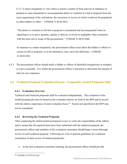6.3.2 A minor irregularity is "one which is merely a matter of form and not of substance or pertains to some immaterial or inconsequential defect or variation in a bid or proposal from the exact requirement of the solicitation, the correction or waiver of which would not be prejudicial to other bidders or offers." COMAR 21.06.02.04A.

"The defect or variation in the bid or proposal is immaterial and inconsequential when its significance as to price, quantity, quality or delivery is trivial or negligible when contrasted with the total cost or scope of the procurement." COMAR 21.06.03.04B.

In response to a minor irregularity, the procurement officer must allow the bidder or offeror to correct its bid or proposal, or in the alternative, may waive the deficiency. COMAR 21.06.02.04C.

6.3.3 The procurement officer should notify a bidder or offeror of identified irregularities or mistakes as soon as possible. It is within the procurement officer's discretion to determine the amount of time for cure responses.

## **6.4 Technical Proposal Evaluation Process - Competitive Sealed Proposals Only**

### **6.4.1 Evaluation Overview**

Technical and Financial proposals shall be evaluated independently. The evaluation of the technical proposals must be based on the evaluation factors set forth in the RFP and in accord with the relative importance of each evaluation factor.<sup>55</sup> Factors not specified in the RFP may not be considered.

### **6.4.2 Reviewing the Technical Proposals**

After conducting the initial technical proposal review to verify the responsibility of the offeror and to ensure that all required items have been submitted with the technical proposal, the procurement officer and members of the evaluation committee should begin a more thorough review of each technical proposal. Following are a list of general guidelines for evaluation committees in their review of technical proposals:

• At the first evaluation committee meeting, the procurement officer should provide

<span id="page-65-0"></span> <sup>55</sup> COMAR 21.05.03.02.A(2)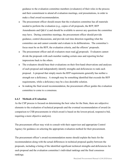guidance to the evaluation committee members (evaluators) of their roles in the process and their commitment to attend all evaluation meetings, oral presentations, in order to make a final award recommendation.

- The procurement officer should ensure that the evaluation committee has all materials needed to perform the evaluation (e.g., copies of all proposals, the RFP, RFP Amendments and Q&A's) and should be available to answer any questions the committee may have. During committee meetings, the procurement officer should provide guidance, control discussions, and provide real time direction regarding what the committee can and cannot consider and evaluate in its deliberations. The committee's focus must be on the RFP, the evaluation criteria, and the offerors' proposals.
- The procurement officer and all evaluators must read *all* proposals. Evaluators cannot divide the proposals with each member reading certain ones and reporting his/her impressions back to the others.
- The evaluators should base their evaluations on their first-hand observations and analyses of each proposal and independently identify strengths and deficiencies to rank each proposal. A proposal that simply meets the RFP requirements generally has neither a strength nor a deficiency. A strength may be something identified that exceeds the RFP requirements, while a deficiency may be a less desirable solution.
- In making the final award recommendation, the procurement officer guides the evaluation committee to come to a consensus.

#### **6.4.3 Methods of Evaluation**

As the CSP process is focused on determining the best value for the State, there are subjective elements to the evaluation of technical proposals and the eventual recommendation of award (in comparison to CSB procurements in which award is based on the lowest-priced, responsive bid, requiring a more objective analysis).

The procurement officer may wish to consult with their supervisor and appropriate Control Agency for guidance on selecting the appropriate evaluation method for their procurement.

The procurement officer's award recommendation memo should explain the basis for the recommendation along with the actual differences in technical proposal quality between the proposals, including a listing of the identified significant technical strengths and deficiencies for each proposal and the evaluation committee's individual rankings and the final consensus rankings.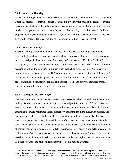#### **6.4.3.1 Numerical Rankings**

Numerical ranking is the most widely used evaluation method in the State for CSP procurements. Under this method, technical proposals are ranked individually for each of the technical criteria, based on identified strengths and deficiencies in each offeror's technical proposal, up to the total number of proposals that remain reasonably susceptible of being selected for award. So if three proposals remain, each proposal is ranked 1, 2, or 3 for each of the technical criteria<sup>56</sup>, and then an overall consensus technical ranking of 1, 2, or 3 is identified for each proposal.

#### **6.4.3.2 Adjectival Ratings**

Adjectival rating is another evaluation method, where instead of a ranking number being assigned to the technical criteria and overall technical proposal rankings, a descriptive adjective or code is assigned. An example could be a range of terms such as "Excellent," "Good," "Acceptable," "Weak," and "Unacceptable." Sometimes each of these terms includes a further description of how the term is to be applied when evaluating proposals (e.g., "Excellent  $= a$ thorough response that exceeds the RFP requirements in all ways and contains no deficiencies"). Under this method, technical proposals are rated individually for each of the technical criteria based on identified significant strengths and deficiencies in each offeror's technical proposal applying a descriptive rating term to each proposal.

#### **6.4.3.3 Scoring/Points/Percentages**

The use of points, scoring systems, or assigning of percentages for technical criteria and overall rankings is sometimes used in an attempt to remove subjectivity from the CSP evaluation and award recommendation process. The rationale is usually that by letting a mathematical formula determine the award recommendation, subjectivity is minimized in the evaluation process, and evaluators and offerors are better able to determine the magnitude of technical differences between proposals. However, the establishment of the particular mathematical formula to be used, the delegation of points to the technical and financial criteria, and the eventual assignment of points by the evaluation committee all still require subjective analysis and determination. The RFP should define the mathematical formula to be used, the delegation of points per criteria, and describe how evaluators will assign points to these criteria (identifying particular sections of the RFP scope of work and proposal responses where points may be awarded).

<span id="page-67-0"></span><sup>&</sup>lt;sup>56</sup> If the evaluation committee has identified a specific technical criterion that is satisfied equally by more than one offeror, the committee members may desire to give the same ranking to those proposals in that criterion. However, the procurement officer should guide the committee to differentiate between technical solutions where possible.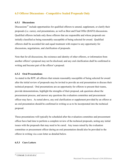## **6.5 Offeror Discussions - Competitive Sealed Proposals Only**

#### **6.5.1 Discussions**

Discussions<sup>[57](#page-68-0)</sup> include opportunities for qualified offerors to amend, supplement, or clarify their proposals (i.e. cures), oral presentations, as well as Best and Final Offer (BAFO) discussions. Qualified offerors include only those offerors that are responsible and whose proposals are initially classified as being reasonably susceptible of being selected for award. Qualified offerors shall be accorded fair and equal treatment with respect to any opportunity for discussions, negotiations, and clarification of proposals.

Note that for all discussions, the existence and identity of other offerors, or information from another offeror's proposal may not be disclosed, and any oral clarification shall be confirmed in writing and become part of the offeror's proposal.

#### **6.5.2 Oral Presentations**

As stated in the RFP, all offerors that remain reasonably susceptible of being selected for award after the initial review of proposals may be invited to provide an oral presentation to discuss their technical proposal. Oral presentations are an opportunity for offerors to present their teams, provide demonstrations, highlight the strengths of their proposal, ask questions about the procurement process, and answer any questions the evaluation committee and procurement officer may have. As noted above, any oral clarification or supplement provided by an offeror at an oral presentation should be confirmed in writing so as to be incorporated into the technical proposal.

These presentations will typically be scheduled after the evaluation committee and procurement officer have had time to perform a complete review of the technical proposals, noting any initial issues with the proposals that may need to be cured. Any issues raised by the evaluation committee or procurement officer during an oral presentation should also be provided to the offeror in writing via a cure letter as detailed below.

#### **6.5.3 Cure Letters**

<span id="page-68-0"></span><sup>57</sup> COMAR 21.05.03.03.C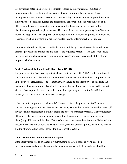For any issues noted in an offeror's technical proposal by the evaluation committee or procurement officer, including identification of technical proposal deficiencies, flaws, incomplete proposal elements, exceptions, responsibility concerns, or even proposal items that simply need to be clarified further, the procurement officer should send written notice to the offeror with the issues enumerated to obtain a cure for the deficiency or request further clarification or proposal supplementation. These cure letters are an opportunity for offerors to revise and supplement their proposals and attempt to minimize identified proposal deficiencies. Responses must be in writing and are incorporated into the offeror's technical proposal.

Cure letters should identify each specific issue and deficiency to be addressed in an individual offeror's proposal and provide the due date for the requested response. The cure letter should not reference or include elements from another offeror's proposal to request that this offeror propose a similar element.

### **6.5.4 Technical Best and Final Offers (Tech. BAFO)**

The procurement officer may request a technical best and final offer<sup>[58](#page-69-0)</sup> (BAFO) from offerors to confirm in writing all substantive clarifications of, or changes in, their technical proposals made in the course of discussions. The technical BAFO should be conducted prior to finalizing the evaluation of technical proposals and before opening financial proposals. Each BAFO request after the first requires its own written determination explaining the need for the additional request, to be signed by the agency head or designee.

After cure letter responses or technical BAFOs are received, the procurement officer should consider rejecting any proposal deemed not reasonably susceptible of being selected for award, if any substantive requirement is still not met in the offeror's technical proposal. The procurement officer may also send a follow-up cure letter noting the continued proposal deficiency, or identifying additional deficiencies. If after subsequent cure letters the offeror is still deemed not reasonably susceptible of being selected for award, then the offeror's proposal should be rejected and the offeror notified of the reasons for the proposal rejection.

#### **6.5.5 Amendments after Receipt of Proposals**

<span id="page-69-0"></span>If the State wishes to add or change a requirement to an RFP's scope of work, based on information received during the proposal evaluation process, an RFP amendment should be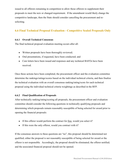issued to all offerors remaining in competition to allow those offerors to supplement their proposals to meet the new or changed requirement. If the amendment would likely change the competitive landscape, then the State should consider cancelling the procurement and resoliciting.

## **6.6 Final Technical Proposal Evaluation - Competitive Sealed Proposals Only**

#### **6.6.1 Overall Technical Consensus**

The final technical proposal evaluation meeting occurs after all:

- Written proposals have been thoroughly reviewed;
- Oral presentations, if requested, have been conducted; and
- Cure letters have been issued and responses and any technical BAFOs have been received.

Once these actions have been completed, the procurement officer and the evaluation committee determine the rankings/ratings/scores based on the individual technical criteria, and then finalize the technical evaluation with an overall consensus ranking/rating/score for each technical proposal using the individual technical criteria weightings as described in the RFP.

### **6.6.2 Final Qualification of Proposals**

After technically ranking/rating/scoring all proposals, the procurement officer and evaluation committee should consider the following questions in technically qualifying proposals and determining which proposals remain reasonably susceptible of being selected for award prior to opening the financial proposals:

- If this offeror would perform the contract for free, would you select it?
- If this were the only offeror, would you contract with it?

If the consensus answers to these questions are "no", this proposal should be determined not qualified; either the proposal is not reasonably susceptible of being selected for award or the offeror is not responsible. Accordingly, the proposal should be eliminated; the offeror notified; and the associated financial proposal should not be opened.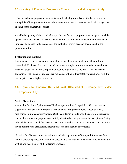## **6.7 Opening of Financial Proposals - Competitive Sealed Proposals Only**

After the technical proposal evaluation is completed, all proposals classified as reasonably susceptible of being selected for award move on to the next procurement evaluation stage: the opening of the financial proposals.

As with the opening of the technical proposals, any financial proposals that are opened shall be opened in the presence of at least two State employees. It is recommended that the financial proposals be opened in the presence of the evaluation committee, and documented in the procurement file.

#### **Evaluation and Ranking**

The financial proposal evaluation and ranking is usually a quick and straightforward process where the RFP financial proposal model calculates a single, bottom-line total evaluated price. Financial proposals that are complex may require expert analysis to assist with the financial evaluation. The financial proposals are ranked according to their total evaluated price with the lowest price ranked highest and so on.

# **6.8 Requests for Financial Best and Final Offers (BAFO) - Competitive Sealed Proposals Only**

#### **6.8.1 Discussions**

As noted in Section 6.5, discussions<sup>[59](#page-71-0)</sup> include opportunities for qualified offerors to amend, supplement, or clarify their proposals through cures, oral presentations, as well as BAFO discussions in limited circumstances. Qualified offerors include only those offerors that remain responsible and whose proposals are initially classified as being reasonably susceptible of being selected for award. Qualified offerors shall be accorded fair and equal treatment with respect to any opportunity for discussions, negotiations, and clarification of proposals.

Note that for all discussions, the existence and identity of other offerors, or information from another offeror's proposal may not be disclosed, and any oral clarification shall be confirmed in writing and become part of the offeror's proposal.

<span id="page-71-0"></span><sup>59</sup> COMAR 21.05.03.03.C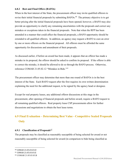#### **6.8.2 Best and Final Offers (BAFOs)**

When in the best interest of the State, the procurement officer may invite qualified offerors to revise their initial financial proposals by submitting BAFOs.<sup>[60](#page-72-0)</sup> The primary objective is to get better pricing after the initial financial proposals have been opened; however, a BAFO may also provide an opportunity to clarify any remaining uncertainties with the proposals and correct any mistakes or exceptions taken in the financial proposals. Note that when the RFP has been amended in a manner that could affect the financial proposals, a BAFO opportunity should be extended to all qualified offerors. In addition, an agency may request a BAFO to cure an error by one or more offerors on the financial proposal. All offerors must be afforded the same opportunity for discussions and amendment of their proposals.

As discussed earlier, if before an award has been made, it appears that an offeror has made a mistake in its proposal, the offeror should be asked to confirm its proposal. If the offeror is able to correct the mistake, it should be allowed to do so through the BAFO process. Otherwise, reference COMAR 21.05.02.12 "Mistakes in Bids."[61](#page-72-1)

The procurement officer may determine that more than one round of BAFOs is in the best interest of the State. Each BAFO request after the first requires its own written determination explaining the need for the additional request, to be signed by the agency head or designee.

Except for real property leases, any additional offeror discussions at this stage in the procurement, after opening of financial proposals and before award, require a BAFO request to all remaining qualified offerors. Real property lease CSP procurements allow for further discussions and negotiations to obtain the best lease terms.

# **6.9 Final Evaluation – Determining Best Value - Competitive Sealed Proposals Only**

#### **6.9.1 Classification of Proposals**<sup>[62](#page-72-2)</sup>

The proposals may be classified as reasonably susceptible of being selected for award or not reasonably susceptible of being selected for award (in comparison to bids being classified as

<span id="page-72-0"></span> <sup>60</sup> COMAR 21.05.03.03.D

<span id="page-72-1"></span><sup>61</sup> COMAR 21.05.03.03.E

<span id="page-72-2"></span><sup>62</sup> COMAR 21.05.03.03.B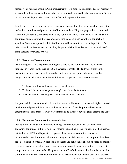responsive or non-responsive in CSB procurements). If a proposal is classified as not reasonably susceptible of being selected for award or the offeror is determined by the procurement officer to be not responsible, the offeror shall be notified and its proposal rejected.

In order for a proposal to be considered reasonably susceptible of being selected for award, the evaluation committee and procurement offeror should be willing and prepared to recommend award of a contract at some price level to any qualified offeror. Conversely, if the evaluation committee and procurement officer are not willing to recommend award of a contract to a specific offeror at any price level, that offeror should be determined to be not qualified. The offeror should be deemed not responsible, the proposal should be deemed not susceptible of being selected for award, or both.

#### **6.9.2 Best Value Determination**

Determining best value requires weighing the strengths and deficiencies of the technical proposals in relation to the pricing in the financial proposals. The RFP will prescribe the evaluation method used, the criteria used to rank, rate or score proposals, as well as the weighting to be afforded to technical and financial proposals. The three options are:

- 1. Technical and financial factors receive equal weight;
- 2. Technical factors receive greater weight than financial factors; or
- 3. Financial factors receive greater weight than technical factors.

The proposal that is recommended for contract award will always be the overall highest ranked, rated or scored proposal from the combined technical and financial proposal best value determination. This proposal will be determined to be the most advantageous offer to the State.

#### **6.9.3 Evaluation Committee Recommendation**

During the final evaluation committee meeting, the procurement officer documents the evaluation committee rankings, ratings or scoring (depending on the evaluation method used, as detailed in the RFP) of all qualified proposals, the evaluation committee's consensus recommended selection for award, and the strengths and deficiencies of all proposals based on the RFP evaluation criteria. A proposal's strengths and deficiencies should be based on specific references to the technical proposal using the evaluation criteria detailed in the RFP, and not comparisons to other proposals. The procurement officer's documentation from the evaluation committee will be used to support both the award recommendation and the debriefing process.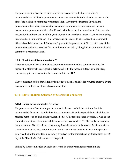The procurement officer then decides whether to accept the evaluation committee's recommendation. While the procurement officer's recommendation is often in consensus with that of the evaluation committee recommendation, there may be instances in which the procurement officer disagrees with the evaluation committee's recommendation. In such instances, the procurement officer should work with the evaluation committee to determine the reasons for the differences in opinion, and attempt to ensure that all proposal elements are being interpreted in a similar manner. If a consensus is still unable to be reached, the procurement officer should document the differences of opinion in the procurement file. It is the duty of the procurement officer to make the final award recommendation, taking into account the evaluation committee's recommendation.

## **6.9.4 Final Award Recommendation**[63](#page-74-0)

The procurement officer shall make a determination recommending contract award to the responsible offeror whose proposal is determined to be the most advantageous to the State, considering price and evaluation factors set forth in the RFP.

The procurement officer should follow its agency's internal policies for required approval by the agency head or designee of award recommendation.

## **6.10 State Finalizes Selection of Successful Vendor(s)**

#### **6.10.1 Notice to Recommended Awardee**

The procurement officer should provide notice to the successful bidder/offeror that it is recommended for award. At this time, the procurement officer is responsible for obtaining the required number of original contracts, signed only by the recommended awardee, as well as the contract affidavit and other required documents, such as any MBE, VSBE, bonds, or insurance documentation. The cover letter transmitting those documents to the successful bidder/offeror should encourage the successful bidder/offeror to return those documents within the period of time specified in the solicitation, generally five days for the contract and contract affidavit or 10 days if MBE and VSBE documents are required.

Failure by the recommended awardee to respond in a timely manner may result in the

<span id="page-74-0"></span> <sup>63</sup> COMAR 21.05.03.03.F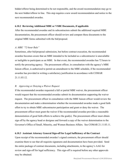bidder/offeror being determined to be not responsible, and the award recommendation may go to the next bidder/offeror in line. This step requires a new award recommendation and notice to the next recommended awardee.

#### **6.10.2 Reviewing Additional MBE or VSBE Documents, if applicable**

After the recommended awardee and its subcontractors submit the additional required MBE documentation, the procurement officer should review and compare these documents to the original MBE forms submitted with the bid/proposal.

#### *A. MBE "72-hour Rule"*

Sometimes, after bid/proposal submission, but before contract execution, the recommended awardee becomes aware that an MBE intended to be included as a subcontractor is unavailable or ineligible to participate as an MBE. In that event, the recommended awardee has 72 hours to notify the procuring agency. The procurement officer, in consultation with the agency's MBE liaison officer, is authorized to permit an amendment to the MBE schedule, if the recommended awardee has provided in writing a satisfactory justification in accordance with COMAR 21.11.03.12.

#### *B. Approving or Denying a Waiver Request*

If the recommended awardee requested a full or partial MBE waiver, the procurement officer would request that the recommended awardee submit its documentation supporting the waiver request. The procurement officer in consultation with the MBE liaison officer would review the documentation and make a determination whether the recommended awardee made a good faith effort to try to obtain MBE subcontractor participation and grant or deny the waiver. The procurement officer must grant the waiver if the recommended awardee provides a reasonable demonstration of good faith efforts to achieve the goal(s). The procurement officer must obtain sign off by the agency head or designee and forward a copy of the waiver determination to the Governor's Office of Small, Minority, and Women Business Affairs. See COMAR 21.11.03.11.

#### **6.10.3 Assistant Attorney General Sign-off for Legal Sufficiency of the Contract**

Upon receipt of the recommended awardee's signed contracts, the procurement officer should examine them to see that all requisite signatures and documentation have been provided. Send the entire package of contract documents, including attachments, to the agency's AAG for review and sign-off for legal sufficiency. This sign-off is required before any other approvals may be obtained.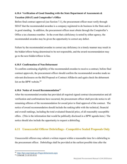# **6.10.4 Verification of Good Standing with the State Department of Assessments & Taxation (SDAT) and Comptroller's Office**

Before final contract approval (see Section 7.1), the procurement officer must verify through SDAT that the recommended awardee is a company registered to do business in the State and is in good standing. In addition, the procurement officer must obtain through the Comptroller's Office a tax clearance number. In the event that a deficiency is noted by either agency, the recommended awardee may be given the opportunity to correct any defect.

Failure by the recommended awardee to correct any deficiency in a timely manner may result in the bidder/offeror being determined to be not responsible, and the award recommendation may go to the next bidder/offeror in line.

#### **6.10.5 Confirmation of Non-Debarment**

To confirm continuing eligibility of the recommended awardee to receive a contract, before final contract approvals, the procurement officer should confirm the recommended awardee made no relevant disclosures on the Bid Proposal or Contract Affidavits and again check the debarment list on the BPW website.<sup>[64](#page-76-0)</sup>

## **6.10.6 Notice of Award Recommendation**[65](#page-76-1)

After the recommended awardee has provided all required signed contract documentation and all verification and confirmations have occurred, the procurement officer shall provide notice to all remaining offerors of the recommendation for award prior to final approval of the contract. The notice of award recommendation should include the ranking table with the technical, financial and overall rankings, including the total evaluated financial price, of all reasonably susceptible offers. (This is the information that would be publically disclosed in a BPW agenda item.) The notice should also include the opportunity to request a debriefing.

# **6.11 Unsuccessful Offeror Debriefings - Competitive Sealed Proposals Only**

Unsuccessful offerors may submit a written request within a reasonable time for a debriefing to the procurement officer. Debriefings shall be provided at the earliest possible time after the

<span id="page-76-0"></span>64 <http://bpw.maryland.gov/Pages/debarments.aspx>

<span id="page-76-1"></span><sup>65</sup> COMAR 21.05.03.03.G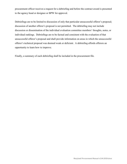procurement officer receives a request for a debriefing and before the contract award is presented to the agency head or designee or BPW for approval.

Debriefings are to be limited to discussion of only that particular unsuccessful offeror's proposal; discussion of another offeror's proposal is not permitted. The debriefing may not include discussion or dissemination of the individual evaluation committee members' thoughts, notes, or individual rankings. Debriefings are to be factual and consistent with the evaluation of that unsuccessful offeror's proposal and shall provide information on areas in which the unsuccessful offeror's technical proposal was deemed weak or deficient. A debriefing affords offerors an opportunity to learn how to improve.

Finally, a summary of each debriefing shall be included in the procurement file.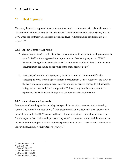## **7. Award Process**

## **7.1 Final Approvals**

There may be several approvals that are required when the procurement officer is ready to move forward with a contract award, as well as approval from a procurement Control Agency and the BPW when the contract value exceeds a specified level. A final funding certification is also required.<sup>66</sup>

#### **7.1.1 Agency Contract Approvals**

- A. *Small Procurements*: Under State law, procurement units may award small procurements up to  $$50,000$  without approval from a procurement Control Agency or the BPW.<sup>67</sup> However, the regulations governing small procurements require different contract award documentation depending on the value of the small procurement.<sup>[68](#page-78-2)</sup>
- B. *Emergency Contracts*: An agency may award a contract or contract modification exceeding \$50,000 without approval from a procurement Control Agency or the BPW on the basis of an emergency, in order to avoid or mitigate serious damage to public health, safety, and welfare as defined in regulation.<sup>69</sup> Emergency awards are required to be reported to the BPW within 45 days after contract award or modification.

#### **7.1.2 Control Agency Approvals**

Procurement Control Agencies are delegated specific levels of procurement and contracting authority by the BPW via regulations.<sup>70</sup> For procurement actions above the small procurement threshold and up to the BPW's delegated levels of procurement and contracting authority, the Control Agency shall review and approve the agencies' procurement action, and then submit to the BPW a monthly report summarizing those procurement actions. These reports are known as Procurement Agency Activity Reports (PAAR).<sup>[71](#page-78-5)</sup>

<span id="page-78-1"></span><sup>67</sup> SFP §13-109

- <span id="page-78-3"></span><sup>69</sup> COMAR 21.05.06.02
- <span id="page-78-4"></span><sup>70</sup> COMAR 21.02.01.04

<span id="page-78-0"></span><sup>66</sup> COMAR 21.03.03.01

<span id="page-78-2"></span><sup>68</sup> COMAR 21.05.07

<span id="page-78-5"></span><sup>71</sup> COMAR 21.02.01.05B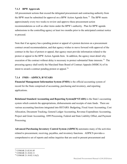## **7.1.3 BPW Approvals**

All procurement actions that exceed the delegated procurement and contracting authority from the BPW must be submitted for approval on a BPW Action Agenda Item.<sup>72</sup> The BPW meets approximately every two weeks to review and approve these procurement action recommendations as well as other items under the BPW's authority. Plan for BPW agenda submissions to the controlling agency at least two months prior to the anticipated contract notice to proceed.

Note that if an agency has a pending protest or appeal of a protest decision on a procurement contract award recommendation, and that agency wishes to move forward with approval of the contract in the face of protest or appeal, that agency must provide information related to the protest or appeal in the BPW Action Agenda Item. In addition, the agency must detail why execution of the contract without delay is necessary to protect substantial State interests.<sup>73</sup> The procuring agency shall notify the Maryland State Board of Contract Appeals (MSBCA) of its intent to award a contract pending protest or appeal.<sup>[74](#page-79-2)</sup>

## **7.1.4 FMIS – ADPICS, R\*STARS**

**Financial Management Information System (FMIS)** is the official accounting system of record for the State comprised of accounting, purchasing and inventory, and reporting applications.

**Relational Standard Accounting and Reporting System(R\*STARS)** is the State's accounting system which controls the appropriations, disbursements and receipts of state funds. There are various accounting functions integrated into RSTARS: Budgeting, Fixed Asset Accounting, Cost Allocation, Document Tracking, General Ledger Accounting, Revenue Expenditure Accounting, Project and Grant Accounting, 1099 Processing, Federal and State Liability Offset, and Payment Processing.

**Advanced Purchasing Inventory Control System (ADPICS)** automates many of the activities related to procurement, receiving, payables, and inventory functions. ADPICS provides a comprehensive set of reports and online inquiries that are used to present procurement and

<span id="page-79-0"></span><sup>72</sup> COMAR 21.02.01.05

<span id="page-79-1"></span><sup>73</sup> COMAR 21.10.02.11

<span id="page-79-2"></span><sup>74</sup> COMAR 21.10.02.11A(2)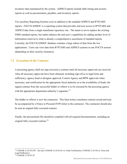inventory data maintained by the system. ADPICS reports include table listing and security reports as well as procurements, payables, and inventory reports.

Two auxiliary Reporting Systems exist in addition to the standard ADPICS and R\*STARS reports. FOCUS/ADHOC is a reporting system that provides end-user access to  $R*STARS$  and ADPICS data from a single mainframe repository site. The intent is not to replace the existing FMIS standard reports, but rather enhance the end-user's capabilities by adding another level of information retrieval to what is already a comprehensive assortment of standard reports. Currently, the FOCUS/ADHOC database contains a large subset of data from the two applications. Users can view data from R\*STARS and ADPICS systems in one FOCUS session (depending on their security clearance).

# **7.2 Execution of the Contract**

A procuring agency shall not sign (execute) a contract until all necessary approvals are received. After all necessary approvals have been obtained, including sign-off as to legal form and sufficiency, agency head or designee approval, Control Agency and BPW approvals when necessary, and certification by the appropriate fiscal authority as to the availability of funds, the signed contract from the successful bidder or offeror is to be executed by the procuring agency with the appropriate department authority's signature.<sup>[75](#page-80-0)</sup>

The bidder or offeror is now the contractor. This final action constitutes contract award and may be accompanied by a Notice to Proceed (NTP) letter to the contractor. The contractor should also be sent an original fully executed contract.

Finally, the procurement file should be compiled with all required documentation, including an original fully executed contract.<sup>[76](#page-80-1)</sup>

<span id="page-80-1"></span><span id="page-80-0"></span><sup>75</sup> COMAR 21.05.03.03F. See also COMAR 21.03.03.01 re: Fund Certification; COMAR 21.03.02 re: Form and Legal Sufficiency <sup>76</sup> COMAR 21.05.01.07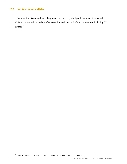# **7.3 Publication on eMMA**

After a contract is entered into, the procurement agency shall publish notice of its award in eMMA not more than 30 days after execution and approval of the contract, not including SP awards.[77](#page-81-0)

<span id="page-81-0"></span><sup>77</sup> COMAR 21.05.02.16, 21.05.03.03G, 21.05.04.04, 21.05.05.04A, 21.05.06.03E(1)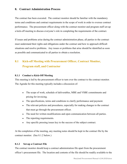## **8. Contract Administration Process**

The contract has been executed. The contract monitor should be familiar with the mandatory terms and conditions and contract requirements in the scope of work in order to oversee contract performance. The procurement officer along with the contract monitor and program staff set-up a kick-off meeting to discuss everyone's role in completing the requirements of the contract.

If issues and problems arise during the contract administration phase, all parties to the contract must understand their rights and obligations under the contract and how to approach difficult situations and resolve problems. Any issues or problems that arise should be identified as soon as possible and communicated to all parties to obtain a resolution.

# **8.1 Kick-off Meeting with Procurement Officer, Contract Monitor, Program staff, and Contractor**

## **8.1.1 Conduct a Kick-Off Meeting**

This meeting is led by the procurement officer to turn over the contract to the contract monitor. The Agenda for this meeting typically includes a discussion of:

- The scope of work, schedule of deliverables, MBE and VSBE commitments and pricing for invoicing.
- The specifications, terms and conditions to clarify performance and payment.
- The relevant policies and procedures, especially for making changes to the contract that must go through the procurement officer.
- The need for written modifications and open communication between all parties.
- The reporting requirements.
- Any specific pressing issues key to the success of the subject contract.

At the completion of the meeting, any meeting notes should be kept in the contract file by the contract monitor. (See 8.1.2 below.)

## **8.1.2 Set-up a Contract File**

The contract monitor should keep a contract administration file apart from the procurement officer's procurement file. The location and contents of the file should be readily available to the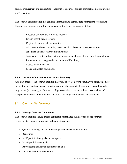agency procurement and contracting leadership to ensure continued contract monitoring during staff transitions.

The contract administration file contains information to demonstrate contractor performance. The contract administration file should contain the following documentation:

- Executed contract and Notice to Proceed;
- Copies of task orders issued;
- Copies of insurance documentation;
- All correspondence, including letters, emails, phone call notes, status reports, schedules, and any other communications;
- Justification (notes to file) detailing decisions including stop work orders or claims;
- Information on change orders or other modifications;
- Copies of invoices; and
- Close-out related documents.

#### **8.1.3 Develop a Contract Monitor Work Summary**

As a best practice, the contract monitor may want to create a work summary to readily monitor the contractor's performance of milestones during the contract. The summary could include: target dates (schedules); performance obligations (what is considered success); review and acceptance/rejection of deliverables; invoicing (pricing); and reporting requirements.

## **8.2 Contract Performance**

#### **8.2.1 Manage Contract Compliance**

The contract monitor should ensure contractor compliance in all aspects of the contract requirements. Some requirements to be monitored are:

- Quality, quantity, and timeliness of performance and deliverables;
- Reporting;
- MBE participation goals and sub-goals;
- VSBE participation goals;
- Any ongoing contractor certifications; and
- Ongoing insurance verification.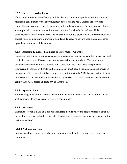#### **8.2.2 Corrective Action Plans**

If the contract monitor identifies any deficiencies in a contractor's performance, the contract monitor in consultation with the procurement officer and the MBE Liaison officer where applicable, may request a corrective action plan from the contractor. The procurement officer should provide a draft cure notice for internal and AAG review before release. If the deficiencies are considered material, the contract monitor and procurement officer may require a corrective action plan prior to imposing liquidated damages or performance guarantees, based upon the requirements of the contract.

#### **8.2.3 Assessing Liquidated Damages or Performance Guarantees**

A contract may contain a liquidated damages provision, performance guarantees or service level credits in connection with contractor performance failures or shortfalls. The solicitation document incorporated into the contract will define how and when these are applicable. However, all contracts with MBE participation goals must have a liquidated damage provision that applies if the contractor fails to comply in good faith with the MBE laws or pertinent terms of the contract consistent with guidance issued by GOSBA.<sup>[78](#page-84-0)</sup> The procurement officer should contact their AAG before utilizing any of these tools.

#### **8.2.4 Applying Bonds**

Before taking any action in relation to submitting a claim on a bond held by the State, consult with your AAG to ensure that everything is done properly**.**

#### **8.2.4.1 Bid Bonds**

Examples of when a claim on a bid bond can arise include where the bidder refuses to enter into the contract, or after the bidder is awarded the contract, if the surety declines the issuance of the performance bond.

#### **8.2.4.2 Performance Bonds**

Performance bond claims arise when the contractor is in default of the contract's terms and conditions.

<span id="page-84-0"></span> <sup>78</sup> COMAR 21.11.03.10(E).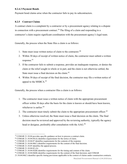## **8.2.4.3 Payment Bonds**

Payment bond claims arise when the contractor fails to pay its subcontractors.

## **8.2.5 Contract Claims**

A contract claim is a complaint by a contractor or by a procurement agency relating to a dispute in connection with a procurement contract.<sup>[79](#page-85-0)</sup> The filing of a claim and responding to a contractor's claim require significant coordination with the procurement agency's legal team.

Generally, the process when the State files a claim is as follows:

- 1. State must issue written notice of claim to the contractor. [80](#page-85-1)
- 2. Within 30 days of receipt of written notice of claim, the contractor must submit a written response. [81](#page-85-2)
- 3. If the contractor fails to submit a response, provides an inadequate response, or denies the claim or the relief sought in whole or in part, and the claim is not otherwise settled, the State must issue a final decision on the claim.<sup>[82](#page-85-3)</sup>
- 4. Within 30 days of receipt of the final decision, the contractor may file a written notice of appeal to the MSBCA. $^{83}$

Generally, the process when a contractor files a claim is as follows:

- 1. The contractor must issue a written notice of claim with the appropriate procurement officer within 30 days after the basis for the claim is known or should have been known, whichever is earlier. [84](#page-85-5)
- 2. The contractor must timely submit the claim to the appropriate procurement officer.<sup>[85](#page-85-6)</sup>
- 3. Unless otherwise resolved, the State must issue a final decision on the claim. The final decision must be reviewed and approved by the reviewing authority, typically the agency head or designee, preferably after consultation with the AAG.<sup>[86](#page-85-7)</sup>

<span id="page-85-0"></span><sup>&</sup>lt;sup>79</sup> COMAR 21.10.04 provides specific guidance on how to process a contract claim.<br><sup>80</sup> COMAR 21.10.04.05(A) identifies requirements for the notice of claim.

<span id="page-85-1"></span>

<span id="page-85-2"></span><sup>&</sup>lt;sup>81</sup> COMAR 21.10.04.07 identifies requirements for the contents of the response.

<span id="page-85-3"></span><sup>&</sup>lt;sup>82</sup> COMAR 21.10.04.08(C) identifies requirements for the content of the final decision.

<span id="page-85-4"></span><sup>83</sup> COMAR 21.10.05 identifies the appeal process.

<span id="page-85-5"></span><sup>84</sup> COMAR 21.10.04.02 (A)

<span id="page-85-6"></span><sup>&</sup>lt;sup>85</sup> COMAR 21.10.04.02(B) identifies requirements for the timing and content of the claim.

<span id="page-85-7"></span><sup>86</sup> COMAR 21.10.04.04(B) identifies requirements for the content of the final decision; and COMAR

<sup>21.10.04.04(</sup>C) identifies specific timing provisions applicable in the context of claims under construction contracts.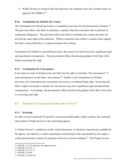4. Within 30 days of receipt of the final decision, the contractor may file a written notice of appeal to the MSBCA. $87$ 

## **8.2.6 Termination for Default (for Cause)**

The Termination for Default provision is a mandatory provision for all procurement contracts.<sup>88</sup> This provision allows the State to terminate a contract when the contractor fails to perform its contractual obligations. This provision allows the State to terminate the contract but does not provide the same right to the contractor. While a contractor may submit a contract claim against the State, as described above, it cannot terminate the contract.

Termination for Default is a powerful provision, the exercise of which may have significant legal and operational consequences. The procurement officer should seek guidance from their AAG before exercising this right.

## **8.2.7 Termination for Convenience**

Even when no event of default exists, the State has the right to terminate "for convenience" if such termination is in the State's best interest.<sup>[89](#page-86-2)</sup> Similar to the Termination for Default provision, the Termination for Convenience provision is a unilateral State right. Exercising the State's right to terminate a contract for convenience may have significant legal and operational consequences. Accordingly, the procurement officer should seek guidance from their AAG prior to exercising such right.

# **8.3 Payment for Accepted Goods and Services[90](#page-86-3)**

#### **8.3.1 Invoicing**

In order to receive payment for goods or services provided under a State contract, the contractor must submit a Proper Invoice to the contracting agency.

A "Proper Invoice" is defined as a bill, written document, or electronic transmission, readable by the agency, provided by a vendor requesting an amount that is due and payable by law under a written procurement contract for property received or services rendered.<sup>91</sup> The Proper Invoice

<span id="page-86-0"></span><sup>87</sup> COMAR 21.10.05 identifies the appeal process.

<span id="page-86-1"></span><sup>88</sup> COMAR 21.07.01.11.

<span id="page-86-2"></span><sup>89</sup> COMAR 21.07.01.12.

<span id="page-86-3"></span><sup>90</sup> COMAR 21.06.09

<span id="page-86-4"></span><sup>91</sup> COMAR 21.06.09.01C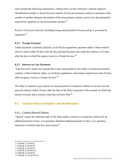must include the following information, without error: (a) the contractor's federal employer identification number or Social Security number, (b) the procurement contract or purchase order number or another adequate description of the procurement contract; and (c) any documentation required by regulation or the procurement contract.  $92$ 

Review of invoices received, including timing and procedures for processing, is governed by regulation.[93](#page-87-1)

#### **8.3.2 Prompt Payment**

Unless payment is deferred, delayed, or set-off per regulations, payment under a State contract must be made within 30 days after the day payment becomes due under the contract, or if later, after the day on which the agency receives a Proper Invoice.<sup>[94](#page-87-2)</sup>

#### **8.3.3 Interest on Late Payments**

"Late Payment" means any amount that is due and payable by law under a written procurement contract, without deferral, delay, or setoff per regulations, and remains unpaid more than 45 days after an agency receives a Proper Invoice.<sup>[95](#page-87-3)</sup>

The State is required to pay interest on late payments if a contractor submits an invoice for late payment interest within 30 days after the date of the State's payment of the amount on which the interest accrued, and a contract claim has not been filed.<sup>[96](#page-87-4)</sup>

## **8.4 Contract Renewal Options and Modifications**

#### 8.4.1 Contract Renewal Options

"Option" means the unilateral right of the State under a contract to extend the contract for an additional period of time, or to purchase delimited additional goods or labor, or to purchase materials or facilities that have been leased. $97$ 

<span id="page-87-0"></span><sup>92</sup> COMAR 21.06.09.02

<span id="page-87-1"></span><sup>93</sup> COMAR 21.06.09.04

<span id="page-87-2"></span><sup>&</sup>lt;sup>94</sup> COMAR 21.06.09.05

<span id="page-87-3"></span><sup>95</sup> COMAR 21.06.09.01A

<span id="page-87-4"></span><sup>96</sup> COMAR 21.06.09.06

<span id="page-87-5"></span><sup>&</sup>lt;sup>97</sup> COMAR 21.01.02.01(61)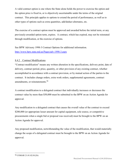A valid contract option is one where the State alone holds the power to exercise the option and the option price is fixed in, or is objectively ascertainable under the terms of the original contract. This principle applies to options to extend the period of performance, as well as to other types of options such as extra quantities, add/deduct alternates, etc.

The exercise of a contract option must be approved and awarded before the initial term, or any previously-awarded option term, expires. A contract, which has expired, may not be reinstated through modification, or the exercise of options.

See BPW Advisory 1998-3 Contract Options for additional information. <http://www.bpw.state.md.us/Pages/adv-1998-3.aspx>

## 8.4.2 Contract Modifications

"Contract modification" means any written alteration in the specifications, delivery point, date of delivery, contract period, price, quantity, or other provision of any existing contract, whether accomplished in accordance with a contract provision, or by mutual action of the parties to the contract. It includes change orders, extra work orders, supplemental agreements, contract amendments, or reinstatements.<sup>[98](#page-88-0)</sup>

A contract modification to a delegated contract that individually increases or decreases the contract value by more than \$50,000 must be submitted to the BPW on an Action Agenda for approval.

Any modification to a delegated contract that causes the overall value of the contract to exceed \$200,000 (or appropriate lesser amount for capital equipment, sole source, or competitive procurements when a single bid or proposal was received) must be brought to the BPW on an Action Agenda for approval.

Any proposed modification, notwithstanding the value of the modification, that would materially change the scope of a delegated contract must be brought to the BPW on an Action Agenda for approval.

<span id="page-88-0"></span> <sup>98</sup> COMAR 21.01.02.01(26)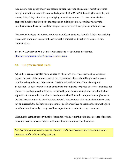As a general rule, goods or services that are outside the scope of a contract must be procured through one of the source selection methods prescribed in COMAR Title 21 (for example, sole source; CSB; CSP) rather than by modifying an existing contract. To determine whether a proposed modification is outside the scope of an existing contract, consider whether the modification could have affected the competition at the time the original solicitation issued.

Procurement officers and contract monitors should seek guidance from the AAG when deciding if proposed work may be accomplished through a contract modification or requires a new contract action.

See BPW Advisory 1995-1 Contract Modifications for additional information. <http://www.bpw.state.md.us/Pages/adv-1995-1.aspx>

# **8.5 Re-procurement Plans**

When there is an anticipated ongoing need for the goods or services provided by a contract beyond the term of the current contract, the procurement officer should begin working on a timeline to begin the next procurement. Refer to Manual Section 3.5 for Planning the Solicitation. A new contract with an anticipated ongoing need for goods or services that does not contain renewal options should be accompanied by a re-procurement plan when submitted for approval. A contract that contains renewal options should include a re-procurement plan when the final renewal option is submitted for approval. For a contract with renewal options that may not be exercised, the decision to re-procure for goods or services or exercise the renewal option must be determined early enough to allow ample time to conduct the re-procurement.

Planning for complex procurements or those historically requiring extra time because of protests, transition periods, or cancellations will warrant earlier re-procurement planning.

*Best Practice Tip: Document desired changes for the next iteration of the solicitation in the procurement file of the existing contract.*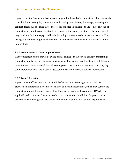## **8.6 Contract Close Out/Transition**

A procurement officer should take steps to prepare for the end of a contract and, if necessary, the transition from an outgoing contractor to an incoming one. Among these steps, reviewing the contract documents to ensure the contractor has satisfied its obligations and to note any end-ofcontract responsibilities are essential to preparing for the end of a contract. The new contract may provide a for a start-up period by the incoming contractor to obtain documents, data files, testing, etc. from the outgoing contractor or the State before commencing performance of the new contract.

#### **8.6.1 Prohibition of a Non-Compete Clause**

The procurement officer should be aware of any language in the current contract prohibiting a contractor from having non-compete agreements with its employees. The State's prohibition of non-compete clauses would allow an incoming contractor to hire the personnel of an outgoing contractor, which may help ensure a successful transition of services between contractors.

#### **8.6.2 Record Retention**

A procurement officer must also be mindful of record retention obligations of both the procurement officer and the contractor relative to the expiring contract, which may survive the contract expiration. The contractor's obligations can be found in the contract, COMAR, and, if applicable, other contract documents such as the solicitation. In addition, the procurement officer's retention obligations are drawn from various reporting and auditing requirements.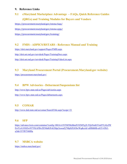## **9. Reference Links**

# **9.1 eMaryland Marketplace Advantage – FAQs, Quick Reference Guides (QRGs) and Training Modules for Buyers and Vendors**

<https://procurement.maryland.gov/emma-faqs/>

<https://procurement.maryland.gov/emma-qrgs/>

<https://procurement.maryland.gov/training/>

# **9.2 FMIS - ADPICS/RSTARS - Reference Manual and Training**

<https://doit.maryland.gov/support/Pages/FMIS.aspx>

<http://doit.net.md.gov/servdesk/Pages/TrainingDocs.aspx>

<http://doit.net.md.gov/servdesk/Pages/TrainingVideoList.aspx>

# **9.3 Maryland Procurement Portal (Procurement.Maryland.gov website)**

<https://procurement.maryland.gov/>

# **9.4 BPW Advisories - Debarment/Suspensions list**

<http://www.bpw.state.md.us/Pages/advisories.aspx>

<http://www.bpw.state.md.us/Pages/debarments.aspx>

# **9.5 COMAR**

<http://www.dsd.state.md.us/comar/SearchTitle.aspx?scope=21>

# **9.6 SFP**

[https://advance.lexis.com/container?config=00JAA1NTM5MzBmZC02MTg2LTQzNmEtYmI5Yy0yZW](https://advance.lexis.com/container?config=00JAA1NTM5MzBmZC02MTg2LTQzNmEtYmI5Yy0yZWEwYzA1OGEwNTYKAFBvZENhdGFsb2fdgr2eooaZj7MpSZGOIwWq&crid=a88bbb8b-e635-43b3-a2dd-557f87548f0a) [EwYzA1OGEwNTYKAFBvZENhdGFsb2fdgr2eooaZj7MpSZGOIwWq&crid=a88bbb8b-e635-43b3](https://advance.lexis.com/container?config=00JAA1NTM5MzBmZC02MTg2LTQzNmEtYmI5Yy0yZWEwYzA1OGEwNTYKAFBvZENhdGFsb2fdgr2eooaZj7MpSZGOIwWq&crid=a88bbb8b-e635-43b3-a2dd-557f87548f0a) [a2dd-557f87548f0a](https://advance.lexis.com/container?config=00JAA1NTM5MzBmZC02MTg2LTQzNmEtYmI5Yy0yZWEwYzA1OGEwNTYKAFBvZENhdGFsb2fdgr2eooaZj7MpSZGOIwWq&crid=a88bbb8b-e635-43b3-a2dd-557f87548f0a)

# **9.7 MSBCA website**

<https://msbca.maryland.gov/>